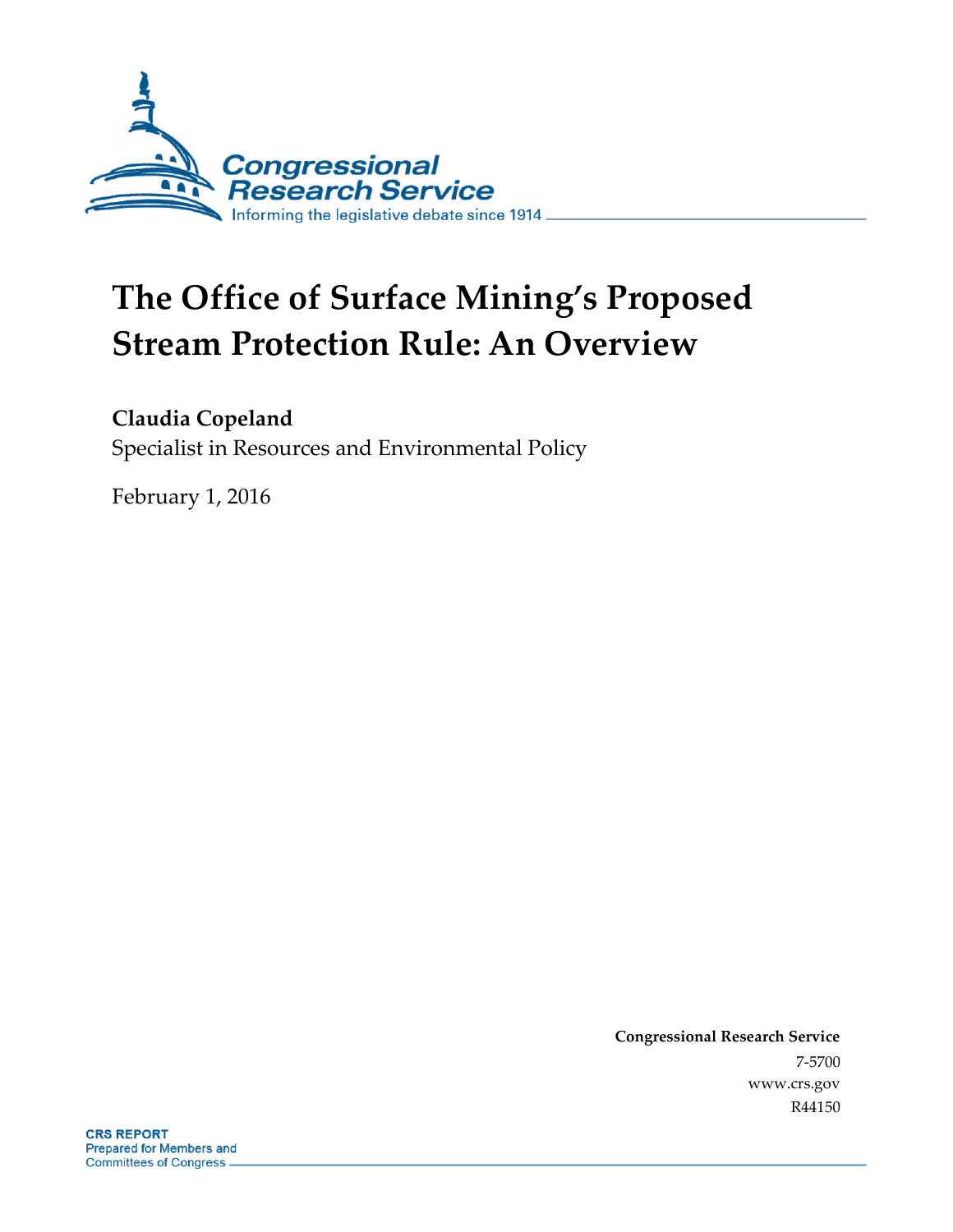

# **The Office of Surface Mining's Proposed Stream Protection Rule: An Overview**

## **Claudia Copeland**

Specialist in Resources and Environmental Policy

February 1, 2016

**Congressional Research Service** 7-5700 www.crs.gov R44150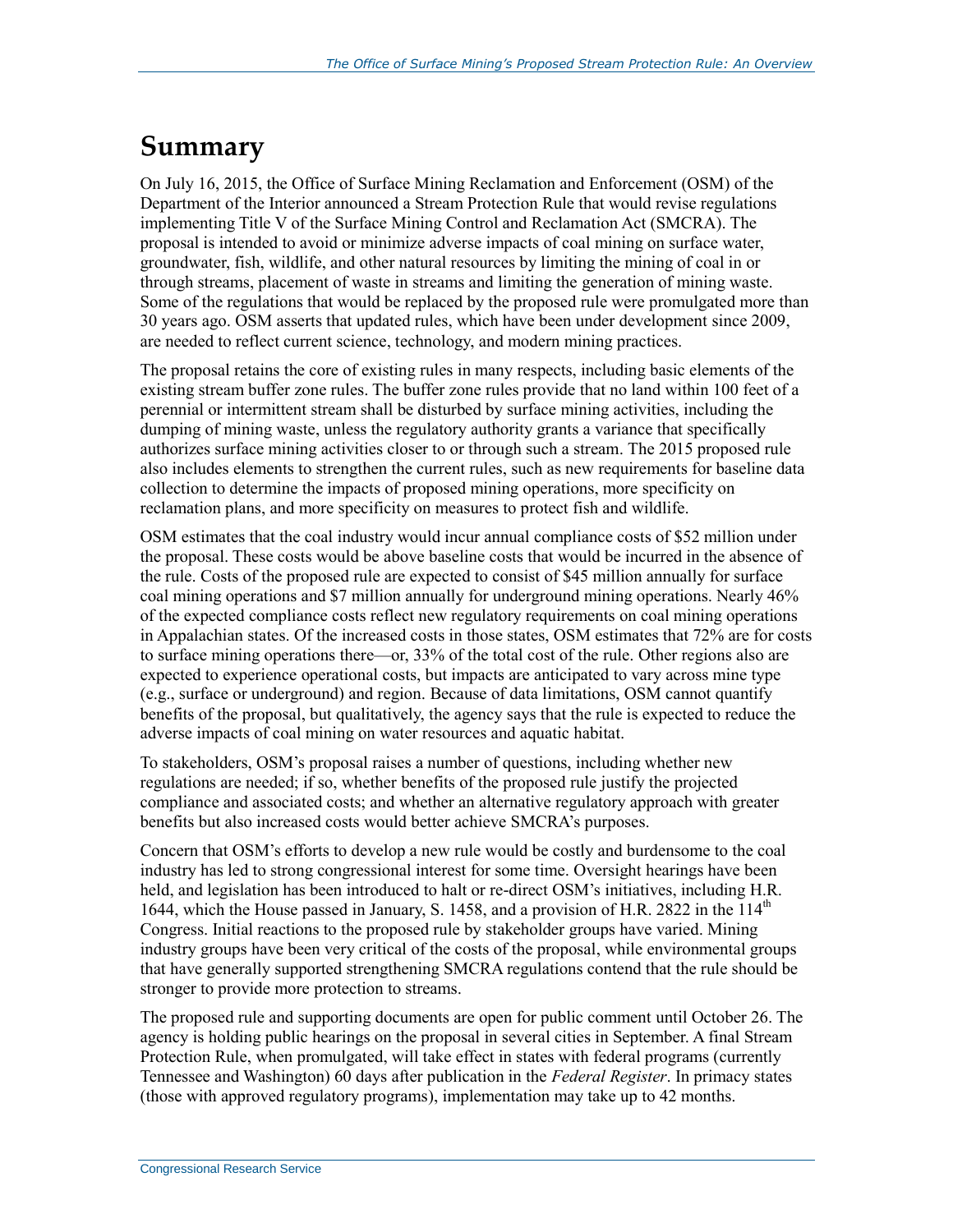## **Summary**

On July 16, 2015, the Office of Surface Mining Reclamation and Enforcement (OSM) of the Department of the Interior announced a Stream Protection Rule that would revise regulations implementing Title V of the Surface Mining Control and Reclamation Act (SMCRA). The proposal is intended to avoid or minimize adverse impacts of coal mining on surface water, groundwater, fish, wildlife, and other natural resources by limiting the mining of coal in or through streams, placement of waste in streams and limiting the generation of mining waste. Some of the regulations that would be replaced by the proposed rule were promulgated more than 30 years ago. OSM asserts that updated rules, which have been under development since 2009, are needed to reflect current science, technology, and modern mining practices.

The proposal retains the core of existing rules in many respects, including basic elements of the existing stream buffer zone rules. The buffer zone rules provide that no land within 100 feet of a perennial or intermittent stream shall be disturbed by surface mining activities, including the dumping of mining waste, unless the regulatory authority grants a variance that specifically authorizes surface mining activities closer to or through such a stream. The 2015 proposed rule also includes elements to strengthen the current rules, such as new requirements for baseline data collection to determine the impacts of proposed mining operations, more specificity on reclamation plans, and more specificity on measures to protect fish and wildlife.

OSM estimates that the coal industry would incur annual compliance costs of \$52 million under the proposal. These costs would be above baseline costs that would be incurred in the absence of the rule. Costs of the proposed rule are expected to consist of \$45 million annually for surface coal mining operations and \$7 million annually for underground mining operations. Nearly 46% of the expected compliance costs reflect new regulatory requirements on coal mining operations in Appalachian states. Of the increased costs in those states, OSM estimates that 72% are for costs to surface mining operations there—or, 33% of the total cost of the rule. Other regions also are expected to experience operational costs, but impacts are anticipated to vary across mine type (e.g., surface or underground) and region. Because of data limitations, OSM cannot quantify benefits of the proposal, but qualitatively, the agency says that the rule is expected to reduce the adverse impacts of coal mining on water resources and aquatic habitat.

To stakeholders, OSM's proposal raises a number of questions, including whether new regulations are needed; if so, whether benefits of the proposed rule justify the projected compliance and associated costs; and whether an alternative regulatory approach with greater benefits but also increased costs would better achieve SMCRA's purposes.

Concern that OSM's efforts to develop a new rule would be costly and burdensome to the coal industry has led to strong congressional interest for some time. Oversight hearings have been held, and legislation has been introduced to halt or re-direct OSM's initiatives, including H.R. 1644, which the House passed in January, S. 1458, and a provision of H.R. 2822 in the  $114<sup>th</sup>$ Congress. Initial reactions to the proposed rule by stakeholder groups have varied. Mining industry groups have been very critical of the costs of the proposal, while environmental groups that have generally supported strengthening SMCRA regulations contend that the rule should be stronger to provide more protection to streams.

The proposed rule and supporting documents are open for public comment until October 26. The agency is holding public hearings on the proposal in several cities in September. A final Stream Protection Rule, when promulgated, will take effect in states with federal programs (currently Tennessee and Washington) 60 days after publication in the *Federal Register*. In primacy states (those with approved regulatory programs), implementation may take up to 42 months.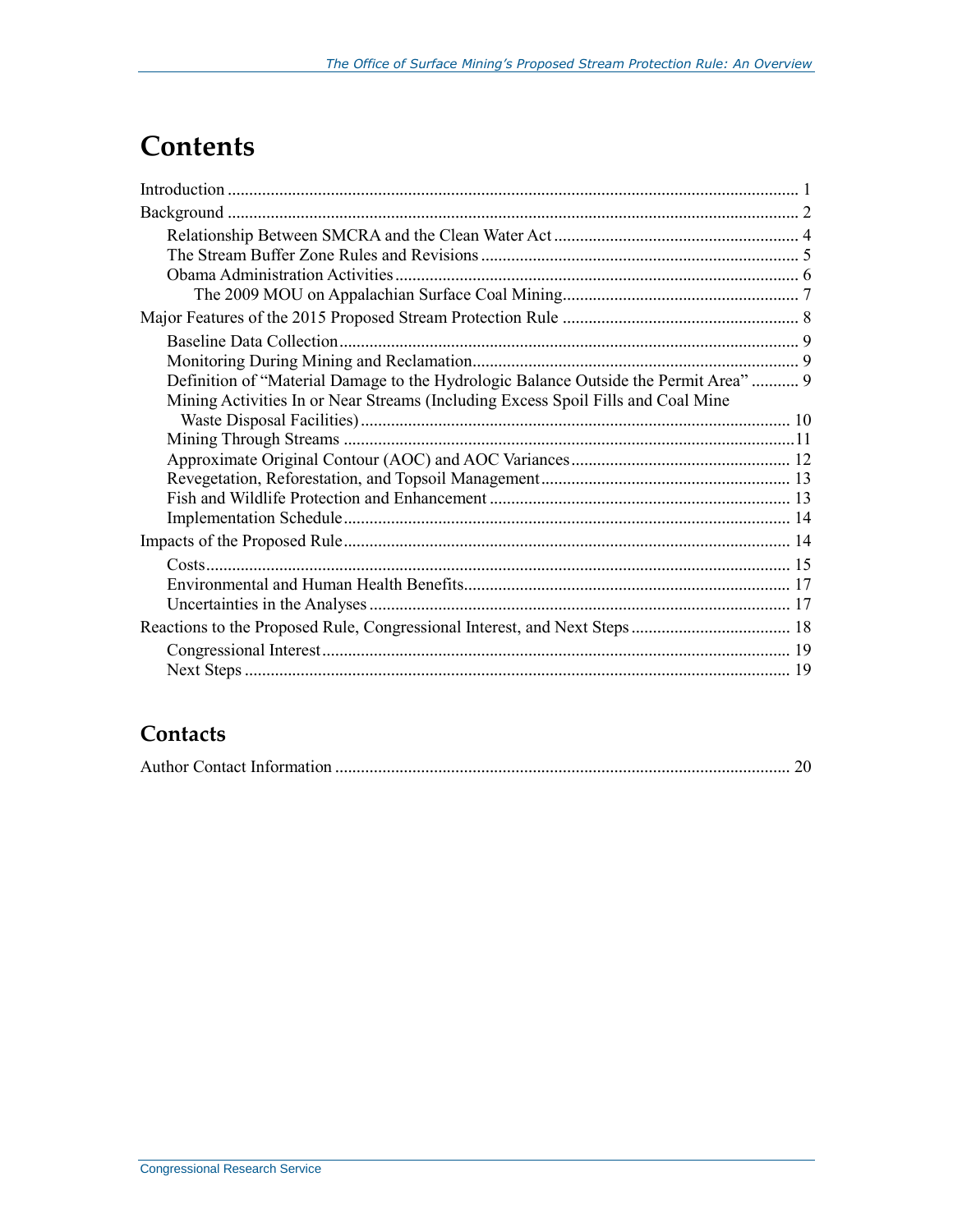## **Contents**

| Definition of "Material Damage to the Hydrologic Balance Outside the Permit Area"  9 |  |  |
|--------------------------------------------------------------------------------------|--|--|
| Mining Activities In or Near Streams (Including Excess Spoil Fills and Coal Mine     |  |  |
|                                                                                      |  |  |
|                                                                                      |  |  |
|                                                                                      |  |  |
|                                                                                      |  |  |
|                                                                                      |  |  |
|                                                                                      |  |  |
|                                                                                      |  |  |
|                                                                                      |  |  |
|                                                                                      |  |  |
|                                                                                      |  |  |
|                                                                                      |  |  |
|                                                                                      |  |  |
|                                                                                      |  |  |
|                                                                                      |  |  |

### **Contacts**

|--|--|--|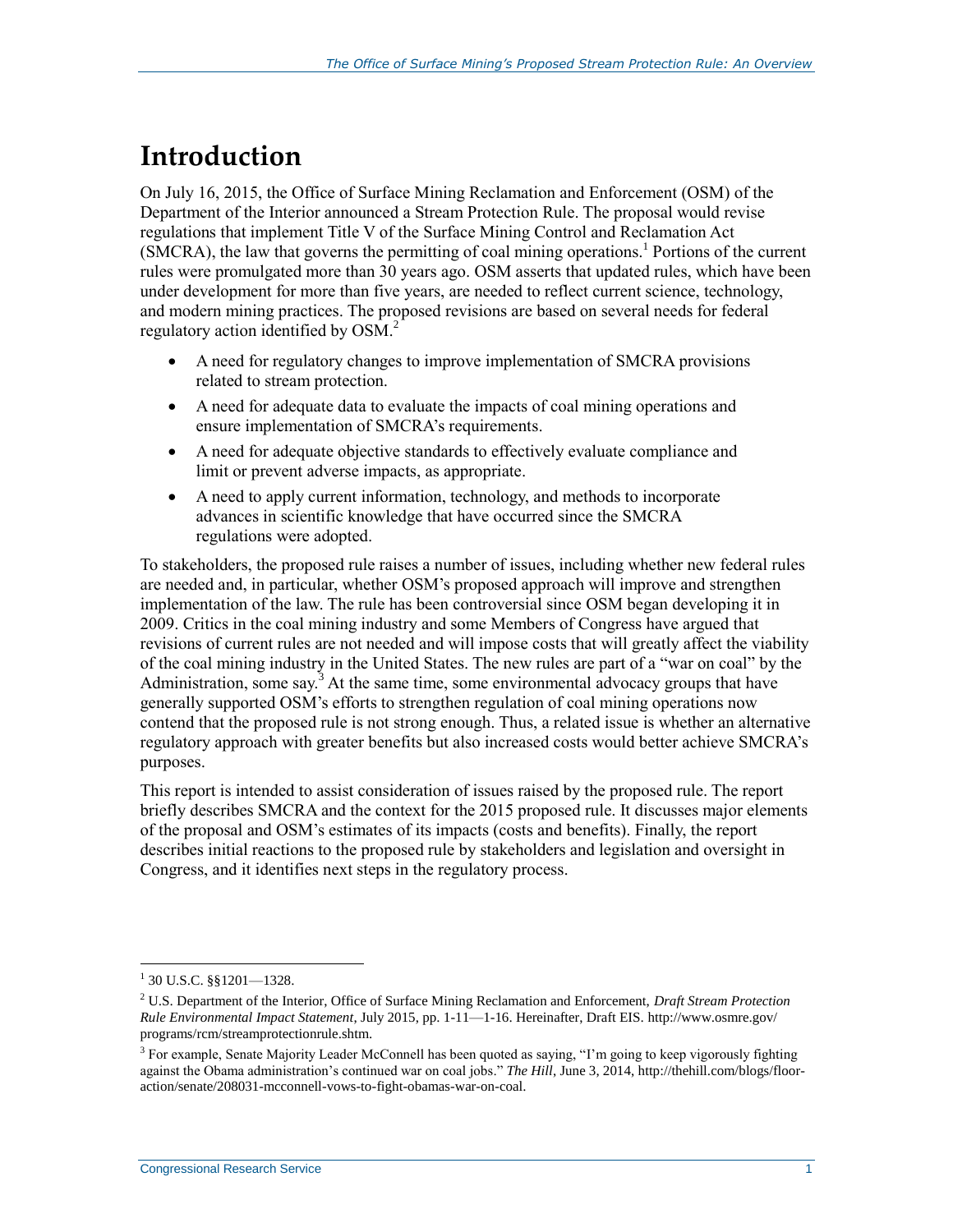## **Introduction**

On July 16, 2015, the Office of Surface Mining Reclamation and Enforcement (OSM) of the Department of the Interior announced a Stream Protection Rule. The proposal would revise regulations that implement Title V of the Surface Mining Control and Reclamation Act (SMCRA), the law that governs the permitting of coal mining operations.<sup>1</sup> Portions of the current rules were promulgated more than 30 years ago. OSM asserts that updated rules, which have been under development for more than five years, are needed to reflect current science, technology, and modern mining practices. The proposed revisions are based on several needs for federal regulatory action identified by OSM.<sup>2</sup>

- A need for regulatory changes to improve implementation of SMCRA provisions related to stream protection.
- A need for adequate data to evaluate the impacts of coal mining operations and ensure implementation of SMCRA's requirements.
- A need for adequate objective standards to effectively evaluate compliance and limit or prevent adverse impacts, as appropriate.
- A need to apply current information, technology, and methods to incorporate advances in scientific knowledge that have occurred since the SMCRA regulations were adopted.

To stakeholders, the proposed rule raises a number of issues, including whether new federal rules are needed and, in particular, whether OSM's proposed approach will improve and strengthen implementation of the law. The rule has been controversial since OSM began developing it in 2009. Critics in the coal mining industry and some Members of Congress have argued that revisions of current rules are not needed and will impose costs that will greatly affect the viability of the coal mining industry in the United States. The new rules are part of a "war on coal" by the Administration, some say.<sup>3</sup> At the same time, some environmental advocacy groups that have generally supported OSM's efforts to strengthen regulation of coal mining operations now contend that the proposed rule is not strong enough. Thus, a related issue is whether an alternative regulatory approach with greater benefits but also increased costs would better achieve SMCRA's purposes.

This report is intended to assist consideration of issues raised by the proposed rule. The report briefly describes SMCRA and the context for the 2015 proposed rule. It discusses major elements of the proposal and OSM's estimates of its impacts (costs and benefits). Finally, the report describes initial reactions to the proposed rule by stakeholders and legislation and oversight in Congress, and it identifies next steps in the regulatory process.

 $1$  30 U.S.C. §§1201—1328.

<sup>2</sup> U.S. Department of the Interior, Office of Surface Mining Reclamation and Enforcement, *Draft Stream Protection Rule Environmental Impact Statement*, July 2015, pp. 1-11—1-16. Hereinafter, Draft EIS. http://www.osmre.gov/ programs/rcm/streamprotectionrule.shtm.

<sup>&</sup>lt;sup>3</sup> For example, Senate Majority Leader McConnell has been quoted as saying, "I'm going to keep vigorously fighting against the Obama administration's continued war on coal jobs." *The Hill*, June 3, 2014, http://thehill.com/blogs/flooraction/senate/208031-mcconnell-vows-to-fight-obamas-war-on-coal.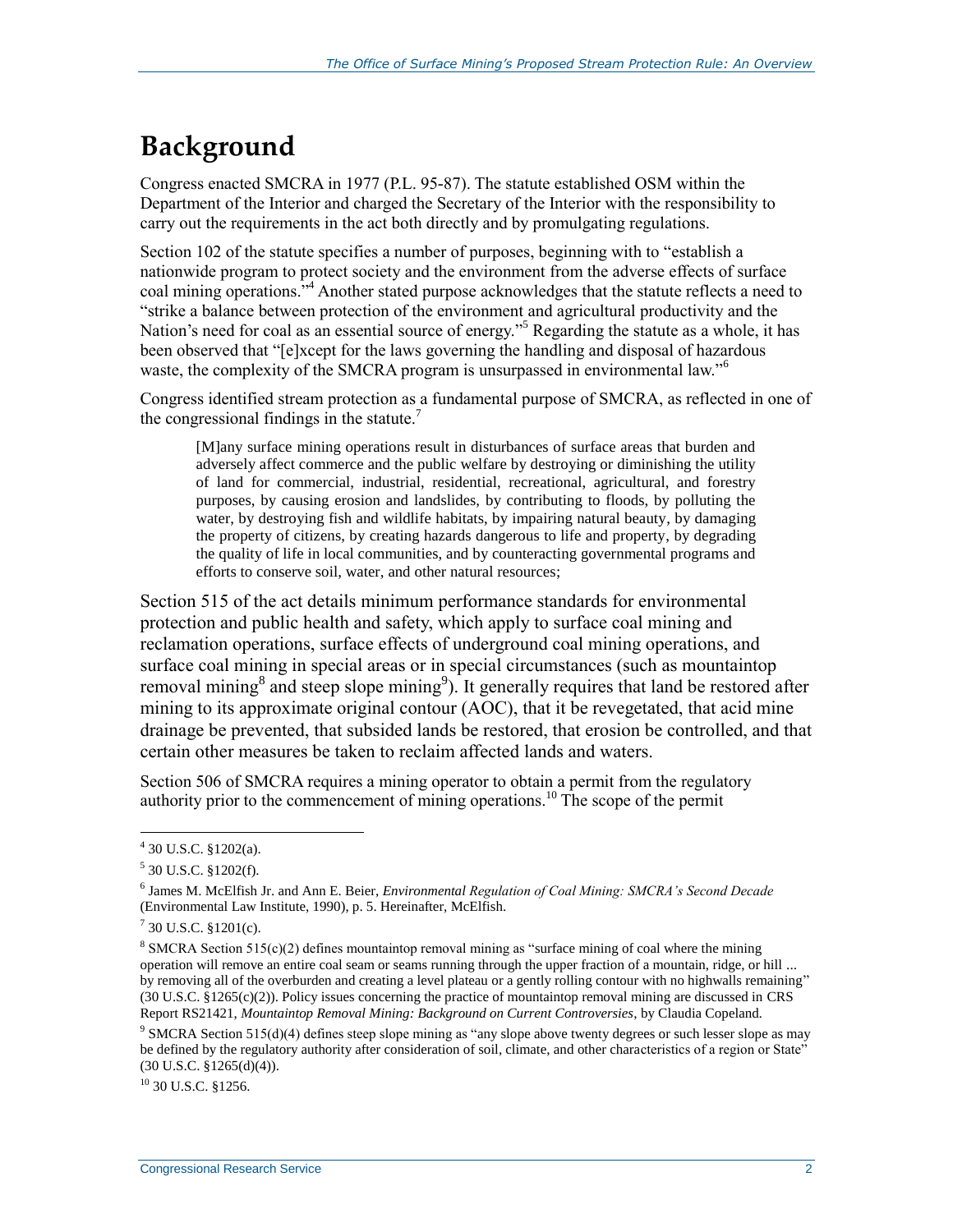## **Background**

Congress enacted SMCRA in 1977 (P.L. 95-87). The statute established OSM within the Department of the Interior and charged the Secretary of the Interior with the responsibility to carry out the requirements in the act both directly and by promulgating regulations.

Section 102 of the statute specifies a number of purposes, beginning with to "establish a nationwide program to protect society and the environment from the adverse effects of surface coal mining operations."<sup>4</sup> Another stated purpose acknowledges that the statute reflects a need to "strike a balance between protection of the environment and agricultural productivity and the Nation's need for coal as an essential source of energy."<sup>5</sup> Regarding the statute as a whole, it has been observed that "[e]xcept for the laws governing the handling and disposal of hazardous waste, the complexity of the SMCRA program is unsurpassed in environmental law."<sup>6</sup>

Congress identified stream protection as a fundamental purpose of SMCRA, as reflected in one of the congressional findings in the statute.<sup>7</sup>

[M]any surface mining operations result in disturbances of surface areas that burden and adversely affect commerce and the public welfare by destroying or diminishing the utility of land for commercial, industrial, residential, recreational, agricultural, and forestry purposes, by causing erosion and landslides, by contributing to floods, by polluting the water, by destroying fish and wildlife habitats, by impairing natural beauty, by damaging the property of citizens, by creating hazards dangerous to life and property, by degrading the quality of life in local communities, and by counteracting governmental programs and efforts to conserve soil, water, and other natural resources;

Section 515 of the act details minimum performance standards for environmental protection and public health and safety, which apply to surface coal mining and reclamation operations, surface effects of underground coal mining operations, and surface coal mining in special areas or in special circumstances (such as mountaintop removal mining<sup>8</sup> and steep slope mining<sup>9</sup>). It generally requires that land be restored after mining to its approximate original contour (AOC), that it be revegetated, that acid mine drainage be prevented, that subsided lands be restored, that erosion be controlled, and that certain other measures be taken to reclaim affected lands and waters.

Section 506 of SMCRA requires a mining operator to obtain a permit from the regulatory authority prior to the commencement of mining operations.<sup>10</sup> The scope of the permit

 $\overline{a}$ 

 $10$  30 U.S.C.  $$1256$ .

<sup>4</sup> 30 U.S.C. §1202(a).

 $5$  30 U.S.C. §1202(f).

<sup>6</sup> James M. McElfish Jr. and Ann E. Beier, *Environmental Regulation of Coal Mining: SMCRA's Second Decade* (Environmental Law Institute, 1990), p. 5. Hereinafter, McElfish.

 $7$  30 U.S.C. §1201(c).

<sup>&</sup>lt;sup>8</sup> SMCRA Section 515(c)(2) defines mountaintop removal mining as "surface mining of coal where the mining operation will remove an entire coal seam or seams running through the upper fraction of a mountain, ridge, or hill ... by removing all of the overburden and creating a level plateau or a gently rolling contour with no highwalls remaining" (30 U.S.C. §1265(c)(2)). Policy issues concerning the practice of mountaintop removal mining are discussed in CRS Report RS21421, *Mountaintop Removal Mining: Background on Current Controversies*, by Claudia Copeland*.*

<sup>&</sup>lt;sup>9</sup> SMCRA Section 515(d)(4) defines steep slope mining as "any slope above twenty degrees or such lesser slope as may be defined by the regulatory authority after consideration of soil, climate, and other characteristics of a region or State"  $(30 \text{ U.S.C. } §1265(d)(4)).$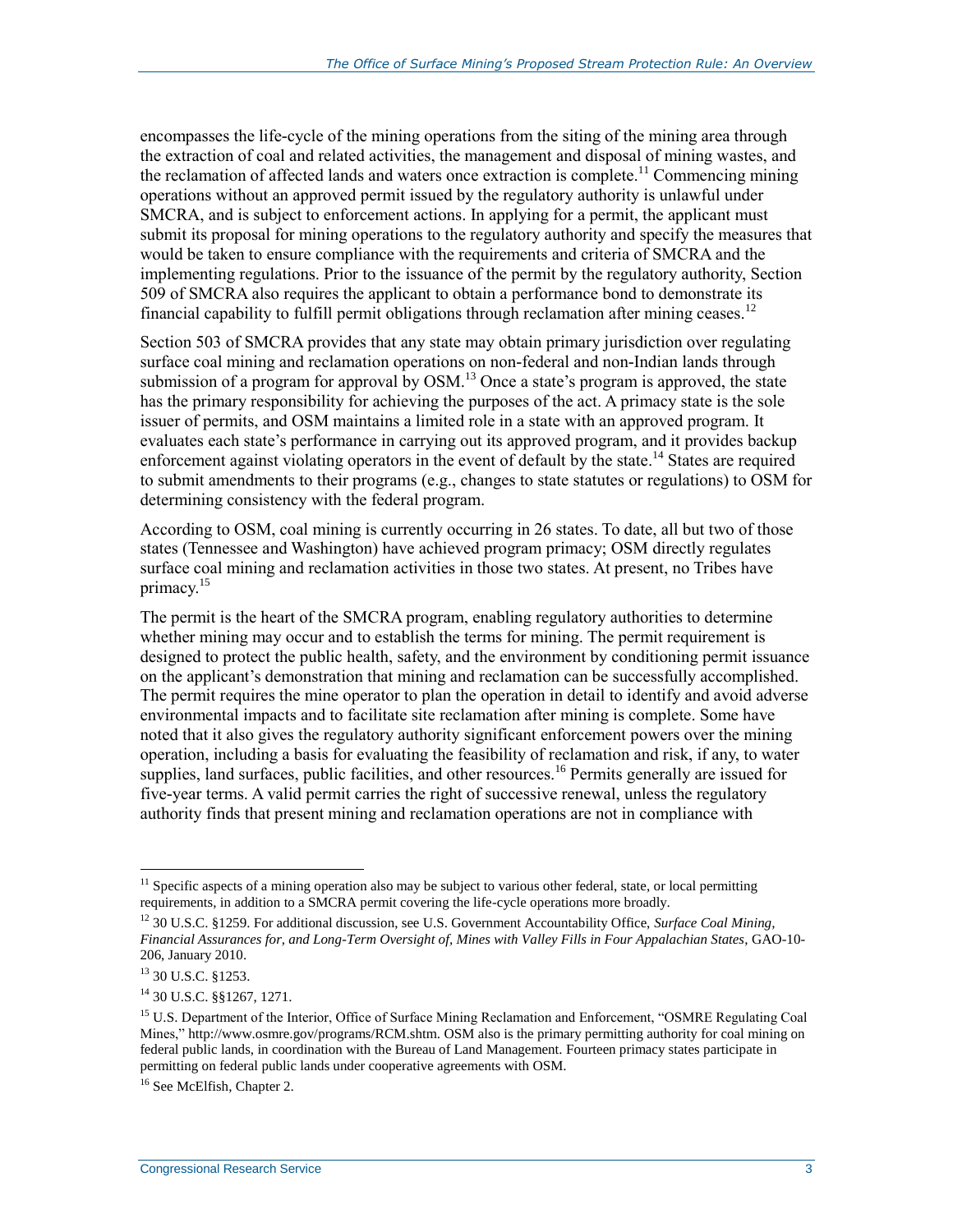encompasses the life-cycle of the mining operations from the siting of the mining area through the extraction of coal and related activities, the management and disposal of mining wastes, and the reclamation of affected lands and waters once extraction is complete.<sup>11</sup> Commencing mining operations without an approved permit issued by the regulatory authority is unlawful under SMCRA, and is subject to enforcement actions. In applying for a permit, the applicant must submit its proposal for mining operations to the regulatory authority and specify the measures that would be taken to ensure compliance with the requirements and criteria of SMCRA and the implementing regulations. Prior to the issuance of the permit by the regulatory authority, Section 509 of SMCRA also requires the applicant to obtain a performance bond to demonstrate its financial capability to fulfill permit obligations through reclamation after mining ceases.<sup>12</sup>

Section 503 of SMCRA provides that any state may obtain primary jurisdiction over regulating surface coal mining and reclamation operations on non-federal and non-Indian lands through submission of a program for approval by OSM.<sup>13</sup> Once a state's program is approved, the state has the primary responsibility for achieving the purposes of the act. A primacy state is the sole issuer of permits, and OSM maintains a limited role in a state with an approved program. It evaluates each state's performance in carrying out its approved program, and it provides backup enforcement against violating operators in the event of default by the state.<sup>14</sup> States are required to submit amendments to their programs (e.g., changes to state statutes or regulations) to OSM for determining consistency with the federal program.

According to OSM, coal mining is currently occurring in 26 states. To date, all but two of those states (Tennessee and Washington) have achieved program primacy; OSM directly regulates surface coal mining and reclamation activities in those two states. At present, no Tribes have primacy.<sup>15</sup>

The permit is the heart of the SMCRA program, enabling regulatory authorities to determine whether mining may occur and to establish the terms for mining. The permit requirement is designed to protect the public health, safety, and the environment by conditioning permit issuance on the applicant's demonstration that mining and reclamation can be successfully accomplished. The permit requires the mine operator to plan the operation in detail to identify and avoid adverse environmental impacts and to facilitate site reclamation after mining is complete. Some have noted that it also gives the regulatory authority significant enforcement powers over the mining operation, including a basis for evaluating the feasibility of reclamation and risk, if any, to water supplies, land surfaces, public facilities, and other resources.<sup>16</sup> Permits generally are issued for five-year terms. A valid permit carries the right of successive renewal, unless the regulatory authority finds that present mining and reclamation operations are not in compliance with

 $11$  Specific aspects of a mining operation also may be subject to various other federal, state, or local permitting requirements, in addition to a SMCRA permit covering the life-cycle operations more broadly.

<sup>12</sup> 30 U.S.C. §1259. For additional discussion, see U.S. Government Accountability Office, *Surface Coal Mining, Financial Assurances for, and Long-Term Oversight of, Mines with Valley Fills in Four Appalachian States*, GAO-10- 206, January 2010.

<sup>13</sup> 30 U.S.C. §1253.

<sup>14</sup> 30 U.S.C. §§1267, 1271.

<sup>&</sup>lt;sup>15</sup> U.S. Department of the Interior, Office of Surface Mining Reclamation and Enforcement, "OSMRE Regulating Coal Mines," http://www.osmre.gov/programs/RCM.shtm. OSM also is the primary permitting authority for coal mining on federal public lands, in coordination with the Bureau of Land Management. Fourteen primacy states participate in permitting on federal public lands under cooperative agreements with OSM.

<sup>&</sup>lt;sup>16</sup> See McElfish, Chapter 2.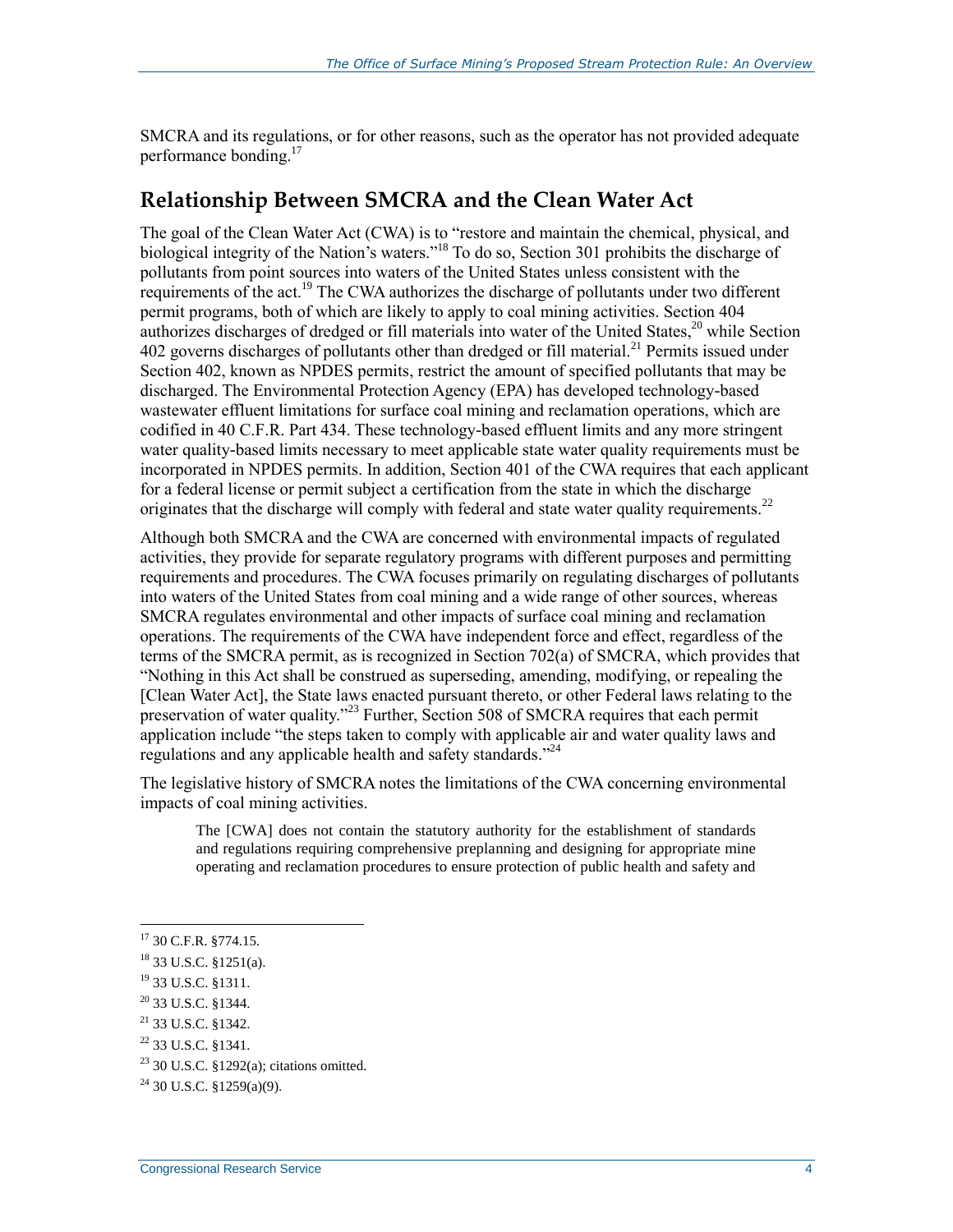SMCRA and its regulations, or for other reasons, such as the operator has not provided adequate performance bonding.<sup>17</sup>

#### **Relationship Between SMCRA and the Clean Water Act**

The goal of the Clean Water Act (CWA) is to "restore and maintain the chemical, physical, and biological integrity of the Nation's waters."<sup>18</sup> To do so, Section 301 prohibits the discharge of pollutants from point sources into waters of the United States unless consistent with the requirements of the act.<sup>19</sup> The CWA authorizes the discharge of pollutants under two different permit programs, both of which are likely to apply to coal mining activities. Section 404 authorizes discharges of dredged or fill materials into water of the United States,<sup>20</sup> while Section 402 governs discharges of pollutants other than dredged or fill material.<sup>21</sup> Permits issued under Section 402, known as NPDES permits, restrict the amount of specified pollutants that may be discharged. The Environmental Protection Agency (EPA) has developed technology-based wastewater effluent limitations for surface coal mining and reclamation operations, which are codified in 40 C.F.R. Part 434. These technology-based effluent limits and any more stringent water quality-based limits necessary to meet applicable state water quality requirements must be incorporated in NPDES permits. In addition, Section 401 of the CWA requires that each applicant for a federal license or permit subject a certification from the state in which the discharge originates that the discharge will comply with federal and state water quality requirements.<sup>22</sup>

Although both SMCRA and the CWA are concerned with environmental impacts of regulated activities, they provide for separate regulatory programs with different purposes and permitting requirements and procedures. The CWA focuses primarily on regulating discharges of pollutants into waters of the United States from coal mining and a wide range of other sources, whereas SMCRA regulates environmental and other impacts of surface coal mining and reclamation operations. The requirements of the CWA have independent force and effect, regardless of the terms of the SMCRA permit, as is recognized in Section 702(a) of SMCRA, which provides that "Nothing in this Act shall be construed as superseding, amending, modifying, or repealing the [Clean Water Act], the State laws enacted pursuant thereto, or other Federal laws relating to the preservation of water quality."<sup>23</sup> Further, Section 508 of SMCRA requires that each permit application include "the steps taken to comply with applicable air and water quality laws and regulations and any applicable health and safety standards."<sup>24</sup>

The legislative history of SMCRA notes the limitations of the CWA concerning environmental impacts of coal mining activities.

The [CWA] does not contain the statutory authority for the establishment of standards and regulations requiring comprehensive preplanning and designing for appropriate mine operating and reclamation procedures to ensure protection of public health and safety and

<sup>17</sup> 30 C.F.R. §774.15.

<sup>18</sup> 33 U.S.C. §1251(a).

<sup>19</sup> 33 U.S.C. §1311.

<sup>20</sup> 33 U.S.C. §1344.

 $21$  33 U.S.C. §1342.

<sup>22</sup> 33 U.S.C. §1341.

<sup>23</sup> 30 U.S.C. §1292(a); citations omitted.

 $^{24}$  30 U.S.C. §1259(a)(9).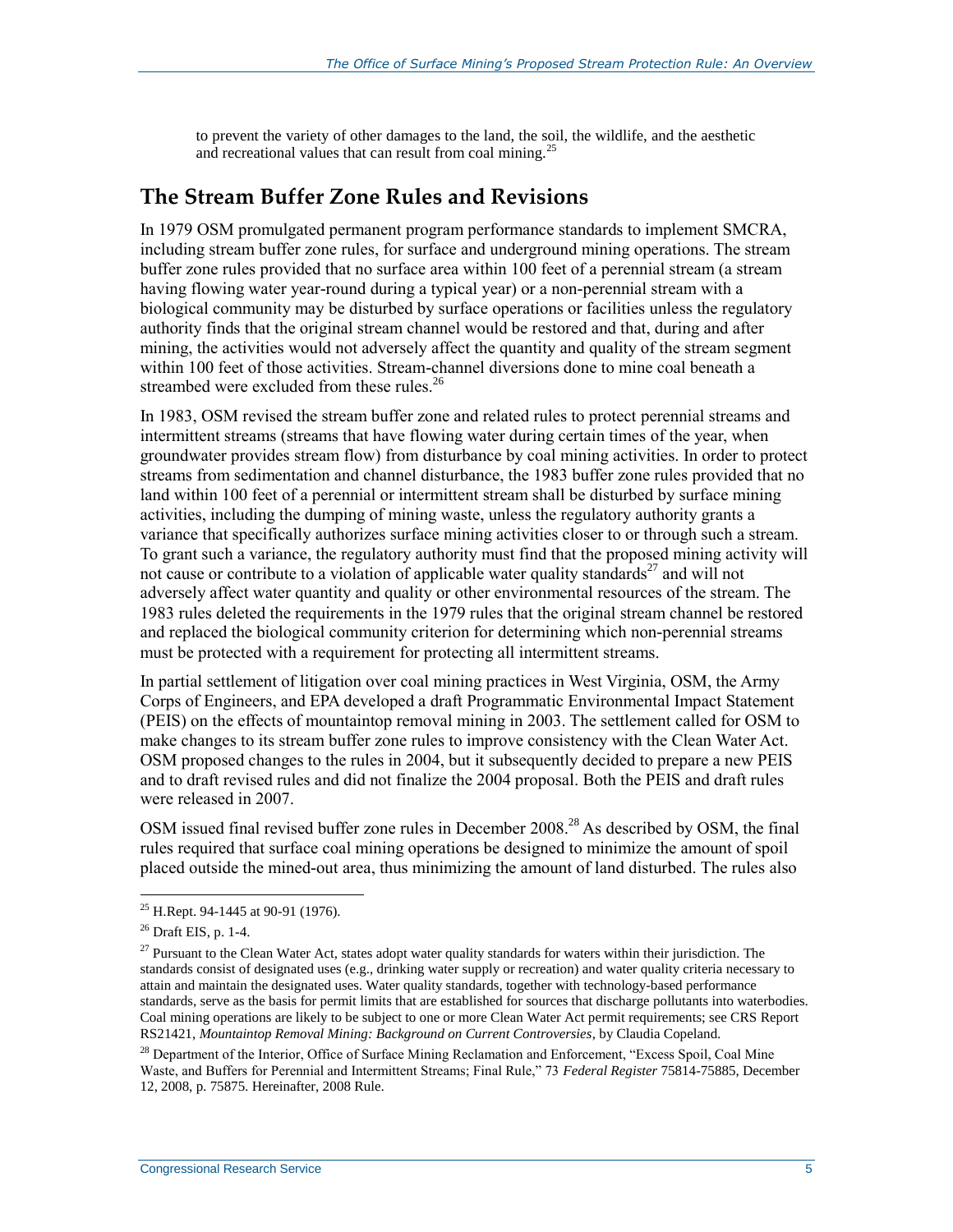to prevent the variety of other damages to the land, the soil, the wildlife, and the aesthetic and recreational values that can result from coal mining.<sup>25</sup>

#### **The Stream Buffer Zone Rules and Revisions**

In 1979 OSM promulgated permanent program performance standards to implement SMCRA, including stream buffer zone rules, for surface and underground mining operations. The stream buffer zone rules provided that no surface area within 100 feet of a perennial stream (a stream having flowing water year-round during a typical year) or a non-perennial stream with a biological community may be disturbed by surface operations or facilities unless the regulatory authority finds that the original stream channel would be restored and that, during and after mining, the activities would not adversely affect the quantity and quality of the stream segment within 100 feet of those activities. Stream-channel diversions done to mine coal beneath a streambed were excluded from these rules.<sup>26</sup>

In 1983, OSM revised the stream buffer zone and related rules to protect perennial streams and intermittent streams (streams that have flowing water during certain times of the year, when groundwater provides stream flow) from disturbance by coal mining activities. In order to protect streams from sedimentation and channel disturbance, the 1983 buffer zone rules provided that no land within 100 feet of a perennial or intermittent stream shall be disturbed by surface mining activities, including the dumping of mining waste, unless the regulatory authority grants a variance that specifically authorizes surface mining activities closer to or through such a stream. To grant such a variance, the regulatory authority must find that the proposed mining activity will not cause or contribute to a violation of applicable water quality standards<sup>27</sup> and will not adversely affect water quantity and quality or other environmental resources of the stream. The 1983 rules deleted the requirements in the 1979 rules that the original stream channel be restored and replaced the biological community criterion for determining which non-perennial streams must be protected with a requirement for protecting all intermittent streams.

In partial settlement of litigation over coal mining practices in West Virginia, OSM, the Army Corps of Engineers, and EPA developed a draft Programmatic Environmental Impact Statement (PEIS) on the effects of mountaintop removal mining in 2003. The settlement called for OSM to make changes to its stream buffer zone rules to improve consistency with the Clean Water Act. OSM proposed changes to the rules in 2004, but it subsequently decided to prepare a new PEIS and to draft revised rules and did not finalize the 2004 proposal. Both the PEIS and draft rules were released in 2007.

OSM issued final revised buffer zone rules in December 2008.<sup>28</sup> As described by OSM, the final rules required that surface coal mining operations be designed to minimize the amount of spoil placed outside the mined-out area, thus minimizing the amount of land disturbed. The rules also

<sup>&</sup>lt;sup>25</sup> H.Rept. 94-1445 at 90-91 (1976).

 $26$  Draft EIS, p. 1-4.

 $27$  Pursuant to the Clean Water Act, states adopt water quality standards for waters within their jurisdiction. The standards consist of designated uses (e.g., drinking water supply or recreation) and water quality criteria necessary to attain and maintain the designated uses. Water quality standards, together with technology-based performance standards, serve as the basis for permit limits that are established for sources that discharge pollutants into waterbodies. Coal mining operations are likely to be subject to one or more Clean Water Act permit requirements; see CRS Report RS21421, *Mountaintop Removal Mining: Background on Current Controversies*, by Claudia Copeland*.*

<sup>&</sup>lt;sup>28</sup> Department of the Interior, Office of Surface Mining Reclamation and Enforcement, "Excess Spoil, Coal Mine Waste, and Buffers for Perennial and Intermittent Streams; Final Rule," 73 *Federal Register* 75814-75885, December 12, 2008, p. 75875. Hereinafter, 2008 Rule.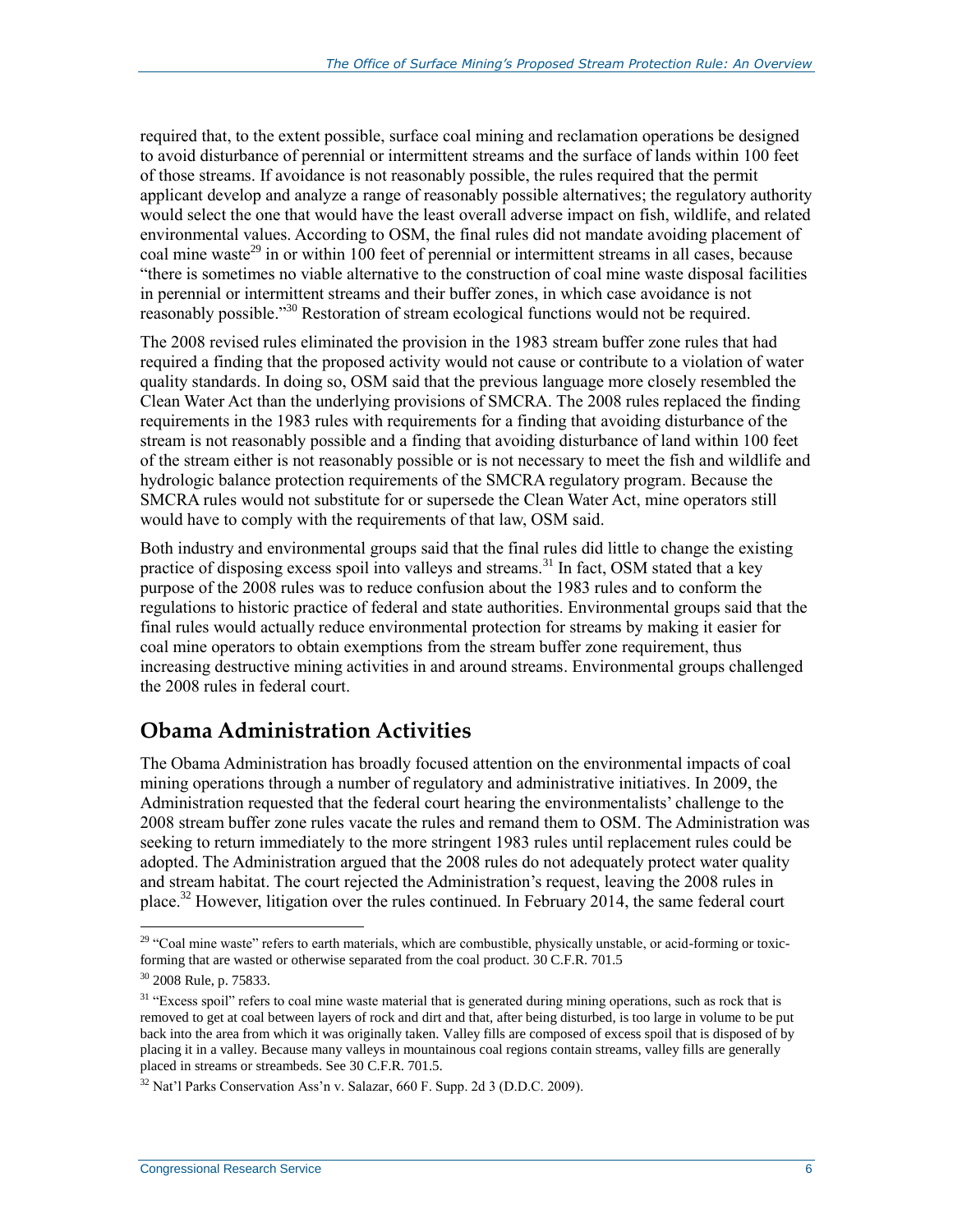required that, to the extent possible, surface coal mining and reclamation operations be designed to avoid disturbance of perennial or intermittent streams and the surface of lands within 100 feet of those streams. If avoidance is not reasonably possible, the rules required that the permit applicant develop and analyze a range of reasonably possible alternatives; the regulatory authority would select the one that would have the least overall adverse impact on fish, wildlife, and related environmental values. According to OSM, the final rules did not mandate avoiding placement of coal mine waste<sup>29</sup> in or within 100 feet of perennial or intermittent streams in all cases, because "there is sometimes no viable alternative to the construction of coal mine waste disposal facilities in perennial or intermittent streams and their buffer zones, in which case avoidance is not reasonably possible."<sup>30</sup> Restoration of stream ecological functions would not be required.

The 2008 revised rules eliminated the provision in the 1983 stream buffer zone rules that had required a finding that the proposed activity would not cause or contribute to a violation of water quality standards. In doing so, OSM said that the previous language more closely resembled the Clean Water Act than the underlying provisions of SMCRA. The 2008 rules replaced the finding requirements in the 1983 rules with requirements for a finding that avoiding disturbance of the stream is not reasonably possible and a finding that avoiding disturbance of land within 100 feet of the stream either is not reasonably possible or is not necessary to meet the fish and wildlife and hydrologic balance protection requirements of the SMCRA regulatory program. Because the SMCRA rules would not substitute for or supersede the Clean Water Act, mine operators still would have to comply with the requirements of that law, OSM said.

Both industry and environmental groups said that the final rules did little to change the existing practice of disposing excess spoil into valleys and streams.<sup>31</sup> In fact, OSM stated that a key purpose of the 2008 rules was to reduce confusion about the 1983 rules and to conform the regulations to historic practice of federal and state authorities. Environmental groups said that the final rules would actually reduce environmental protection for streams by making it easier for coal mine operators to obtain exemptions from the stream buffer zone requirement, thus increasing destructive mining activities in and around streams. Environmental groups challenged the 2008 rules in federal court.

## **Obama Administration Activities**

The Obama Administration has broadly focused attention on the environmental impacts of coal mining operations through a number of regulatory and administrative initiatives. In 2009, the Administration requested that the federal court hearing the environmentalists' challenge to the 2008 stream buffer zone rules vacate the rules and remand them to OSM. The Administration was seeking to return immediately to the more stringent 1983 rules until replacement rules could be adopted. The Administration argued that the 2008 rules do not adequately protect water quality and stream habitat. The court rejected the Administration's request, leaving the 2008 rules in place.<sup>32</sup> However, litigation over the rules continued. In February 2014, the same federal court

 $29$  "Coal mine waste" refers to earth materials, which are combustible, physically unstable, or acid-forming or toxicforming that are wasted or otherwise separated from the coal product. 30 C.F.R. 701.5

<sup>30</sup> 2008 Rule, p. 75833.

<sup>&</sup>lt;sup>31</sup> "Excess spoil" refers to coal mine waste material that is generated during mining operations, such as rock that is removed to get at coal between layers of rock and dirt and that, after being disturbed, is too large in volume to be put back into the area from which it was originally taken. Valley fills are composed of excess spoil that is disposed of by placing it in a valley. Because many valleys in mountainous coal regions contain streams, valley fills are generally placed in streams or streambeds. See 30 C.F.R. 701.5.

 $32$  Nat'l Parks Conservation Ass'n v. Salazar, 660 F. Supp. 2d 3 (D.D.C. 2009).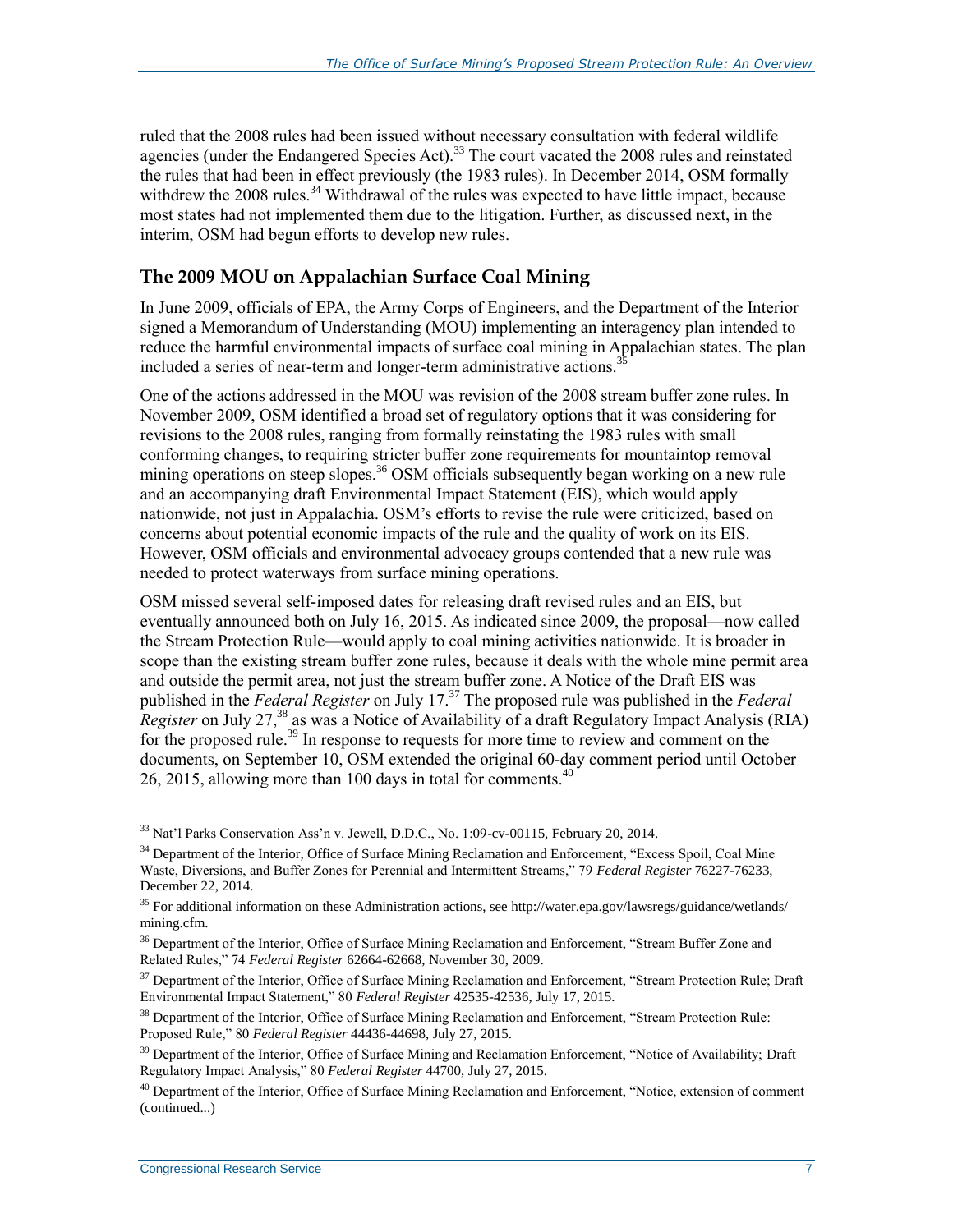ruled that the 2008 rules had been issued without necessary consultation with federal wildlife agencies (under the Endangered Species Act).<sup>33</sup> The court vacated the 2008 rules and reinstated the rules that had been in effect previously (the 1983 rules). In December 2014, OSM formally withdrew the  $2008$  rules.<sup>34</sup> Withdrawal of the rules was expected to have little impact, because most states had not implemented them due to the litigation. Further, as discussed next, in the interim, OSM had begun efforts to develop new rules.

#### **The 2009 MOU on Appalachian Surface Coal Mining**

In June 2009, officials of EPA, the Army Corps of Engineers, and the Department of the Interior signed a Memorandum of Understanding (MOU) implementing an interagency plan intended to reduce the harmful environmental impacts of surface coal mining in Appalachian states. The plan included a series of near-term and longer-term administrative actions.<sup>3</sup>

One of the actions addressed in the MOU was revision of the 2008 stream buffer zone rules. In November 2009, OSM identified a broad set of regulatory options that it was considering for revisions to the 2008 rules, ranging from formally reinstating the 1983 rules with small conforming changes, to requiring stricter buffer zone requirements for mountaintop removal mining operations on steep slopes.<sup>36</sup> OSM officials subsequently began working on a new rule and an accompanying draft Environmental Impact Statement (EIS), which would apply nationwide, not just in Appalachia. OSM's efforts to revise the rule were criticized, based on concerns about potential economic impacts of the rule and the quality of work on its EIS. However, OSM officials and environmental advocacy groups contended that a new rule was needed to protect waterways from surface mining operations.

OSM missed several self-imposed dates for releasing draft revised rules and an EIS, but eventually announced both on July 16, 2015. As indicated since 2009, the proposal—now called the Stream Protection Rule—would apply to coal mining activities nationwide. It is broader in scope than the existing stream buffer zone rules, because it deals with the whole mine permit area and outside the permit area, not just the stream buffer zone. A Notice of the Draft EIS was published in the *Federal Register* on July 17.<sup>37</sup> The proposed rule was published in the *Federal Register* on July 27,<sup>38</sup> as was a Notice of Availability of a draft Regulatory Impact Analysis (RIA) for the proposed rule.<sup>39</sup> In response to requests for more time to review and comment on the documents, on September 10, OSM extended the original 60-day comment period until October 26, 2015, allowing more than 100 days in total for comments. $40$ 

<sup>33</sup> Nat'l Parks Conservation Ass'n v. Jewell, D.D.C., No. 1:09-cv-00115, February 20, 2014.

<sup>&</sup>lt;sup>34</sup> Department of the Interior, Office of Surface Mining Reclamation and Enforcement, "Excess Spoil, Coal Mine Waste, Diversions, and Buffer Zones for Perennial and Intermittent Streams," 79 *Federal Register* 76227-76233, December 22, 2014.

<sup>35</sup> For additional information on these Administration actions, see http://water.epa.gov/lawsregs/guidance/wetlands/ mining.cfm.

<sup>&</sup>lt;sup>36</sup> Department of the Interior, Office of Surface Mining Reclamation and Enforcement, "Stream Buffer Zone and Related Rules," 74 *Federal Register* 62664-62668, November 30, 2009.

<sup>&</sup>lt;sup>37</sup> Department of the Interior, Office of Surface Mining Reclamation and Enforcement, "Stream Protection Rule; Draft Environmental Impact Statement," 80 *Federal Register* 42535-42536, July 17, 2015.

<sup>&</sup>lt;sup>38</sup> Department of the Interior, Office of Surface Mining Reclamation and Enforcement, "Stream Protection Rule: Proposed Rule," 80 *Federal Register* 44436-44698, July 27, 2015.

<sup>&</sup>lt;sup>39</sup> Department of the Interior, Office of Surface Mining and Reclamation Enforcement, "Notice of Availability; Draft Regulatory Impact Analysis," 80 *Federal Register* 44700, July 27, 2015.

<sup>&</sup>lt;sup>40</sup> Department of the Interior, Office of Surface Mining Reclamation and Enforcement, "Notice, extension of comment (continued...)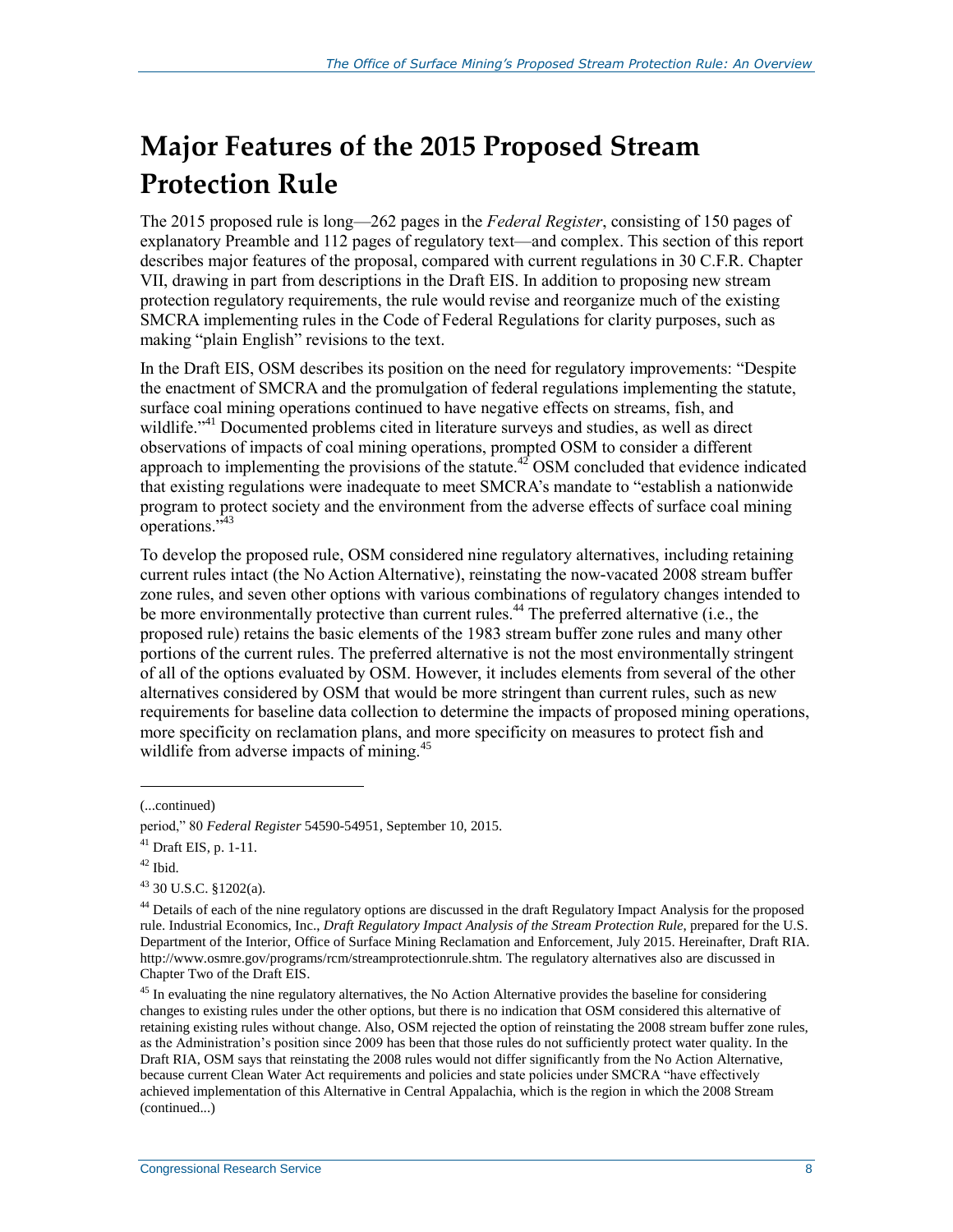## **Major Features of the 2015 Proposed Stream Protection Rule**

The 2015 proposed rule is long—262 pages in the *Federal Register*, consisting of 150 pages of explanatory Preamble and 112 pages of regulatory text—and complex. This section of this report describes major features of the proposal, compared with current regulations in 30 C.F.R. Chapter VII, drawing in part from descriptions in the Draft EIS. In addition to proposing new stream protection regulatory requirements, the rule would revise and reorganize much of the existing SMCRA implementing rules in the Code of Federal Regulations for clarity purposes, such as making "plain English" revisions to the text.

In the Draft EIS, OSM describes its position on the need for regulatory improvements: "Despite the enactment of SMCRA and the promulgation of federal regulations implementing the statute, surface coal mining operations continued to have negative effects on streams, fish, and wildlife."<sup>41</sup> Documented problems cited in literature surveys and studies, as well as direct observations of impacts of coal mining operations, prompted OSM to consider a different approach to implementing the provisions of the statute.<sup>42</sup> OSM concluded that evidence indicated that existing regulations were inadequate to meet SMCRA's mandate to "establish a nationwide program to protect society and the environment from the adverse effects of surface coal mining operations."<sup>43</sup>

To develop the proposed rule, OSM considered nine regulatory alternatives, including retaining current rules intact (the No Action Alternative), reinstating the now-vacated 2008 stream buffer zone rules, and seven other options with various combinations of regulatory changes intended to be more environmentally protective than current rules.<sup>44</sup> The preferred alternative (i.e., the proposed rule) retains the basic elements of the 1983 stream buffer zone rules and many other portions of the current rules. The preferred alternative is not the most environmentally stringent of all of the options evaluated by OSM. However, it includes elements from several of the other alternatives considered by OSM that would be more stringent than current rules, such as new requirements for baseline data collection to determine the impacts of proposed mining operations, more specificity on reclamation plans, and more specificity on measures to protect fish and wildlife from adverse impacts of mining.<sup>45</sup>

<sup>(...</sup>continued)

period," 80 *Federal Register* 54590-54951, September 10, 2015.

<sup>41</sup> Draft EIS, p. 1-11.

 $42$  Ibid.

 $43$  30 U.S.C. §1202(a).

<sup>&</sup>lt;sup>44</sup> Details of each of the nine regulatory options are discussed in the draft Regulatory Impact Analysis for the proposed rule. Industrial Economics, Inc., *Draft Regulatory Impact Analysis of the Stream Protection Rule*, prepared for the U.S. Department of the Interior, Office of Surface Mining Reclamation and Enforcement, July 2015. Hereinafter, Draft RIA. http://www.osmre.gov/programs/rcm/streamprotectionrule.shtm. The regulatory alternatives also are discussed in Chapter Two of the Draft EIS.

<sup>&</sup>lt;sup>45</sup> In evaluating the nine regulatory alternatives, the No Action Alternative provides the baseline for considering changes to existing rules under the other options, but there is no indication that OSM considered this alternative of retaining existing rules without change. Also, OSM rejected the option of reinstating the 2008 stream buffer zone rules, as the Administration's position since 2009 has been that those rules do not sufficiently protect water quality. In the Draft RIA, OSM says that reinstating the 2008 rules would not differ significantly from the No Action Alternative, because current Clean Water Act requirements and policies and state policies under SMCRA "have effectively achieved implementation of this Alternative in Central Appalachia, which is the region in which the 2008 Stream (continued...)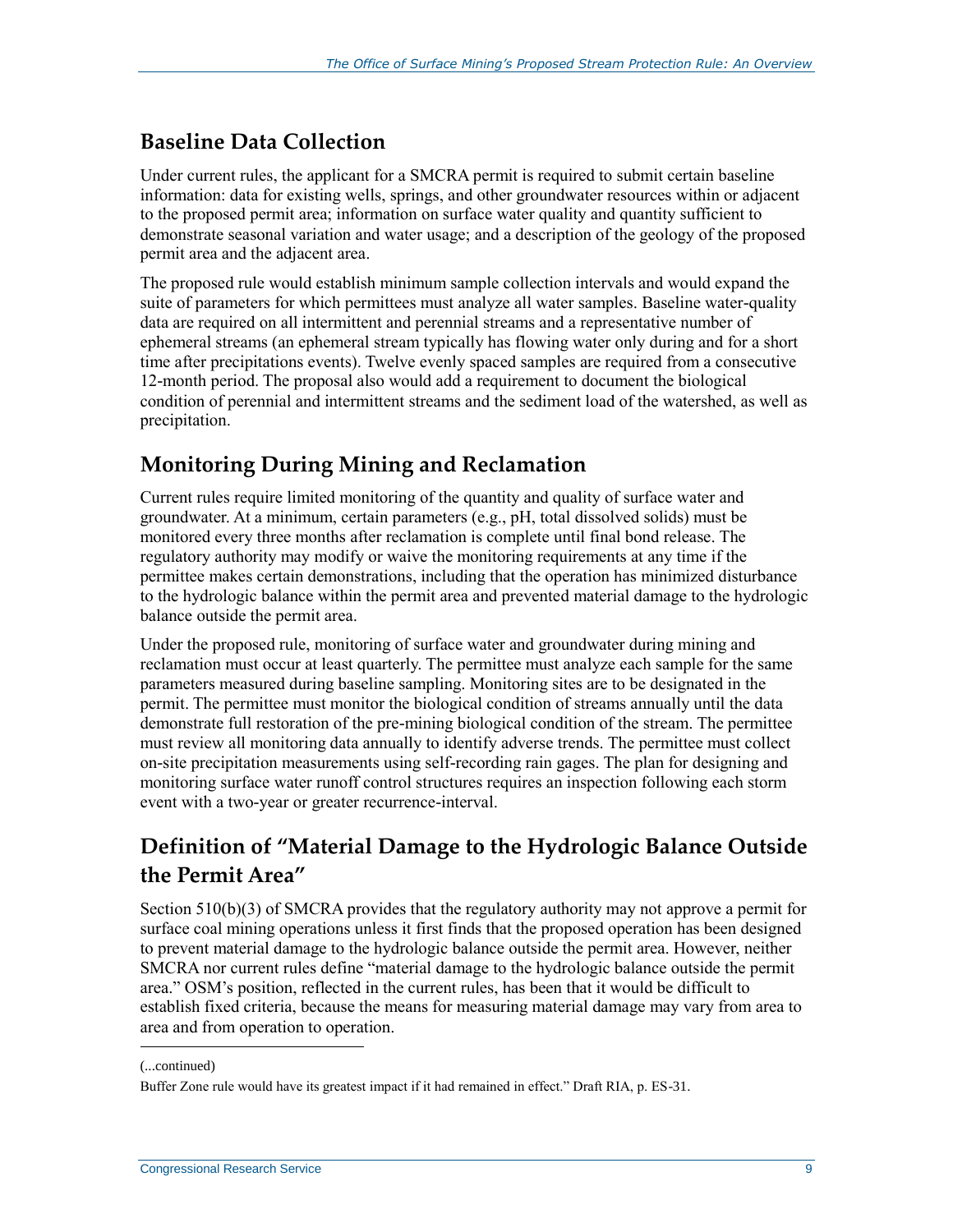### **Baseline Data Collection**

Under current rules, the applicant for a SMCRA permit is required to submit certain baseline information: data for existing wells, springs, and other groundwater resources within or adjacent to the proposed permit area; information on surface water quality and quantity sufficient to demonstrate seasonal variation and water usage; and a description of the geology of the proposed permit area and the adjacent area.

The proposed rule would establish minimum sample collection intervals and would expand the suite of parameters for which permittees must analyze all water samples. Baseline water-quality data are required on all intermittent and perennial streams and a representative number of ephemeral streams (an ephemeral stream typically has flowing water only during and for a short time after precipitations events). Twelve evenly spaced samples are required from a consecutive 12-month period. The proposal also would add a requirement to document the biological condition of perennial and intermittent streams and the sediment load of the watershed, as well as precipitation.

## **Monitoring During Mining and Reclamation**

Current rules require limited monitoring of the quantity and quality of surface water and groundwater. At a minimum, certain parameters (e.g., pH, total dissolved solids) must be monitored every three months after reclamation is complete until final bond release. The regulatory authority may modify or waive the monitoring requirements at any time if the permittee makes certain demonstrations, including that the operation has minimized disturbance to the hydrologic balance within the permit area and prevented material damage to the hydrologic balance outside the permit area.

Under the proposed rule, monitoring of surface water and groundwater during mining and reclamation must occur at least quarterly. The permittee must analyze each sample for the same parameters measured during baseline sampling. Monitoring sites are to be designated in the permit. The permittee must monitor the biological condition of streams annually until the data demonstrate full restoration of the pre-mining biological condition of the stream. The permittee must review all monitoring data annually to identify adverse trends. The permittee must collect on-site precipitation measurements using self-recording rain gages. The plan for designing and monitoring surface water runoff control structures requires an inspection following each storm event with a two-year or greater recurrence-interval.

## **Definition of "Material Damage to the Hydrologic Balance Outside the Permit Area"**

Section 510(b)(3) of SMCRA provides that the regulatory authority may not approve a permit for surface coal mining operations unless it first finds that the proposed operation has been designed to prevent material damage to the hydrologic balance outside the permit area. However, neither SMCRA nor current rules define "material damage to the hydrologic balance outside the permit area." OSM's position, reflected in the current rules, has been that it would be difficult to establish fixed criteria, because the means for measuring material damage may vary from area to area and from operation to operation.

<sup>(...</sup>continued)

Buffer Zone rule would have its greatest impact if it had remained in effect." Draft RIA, p. ES-31.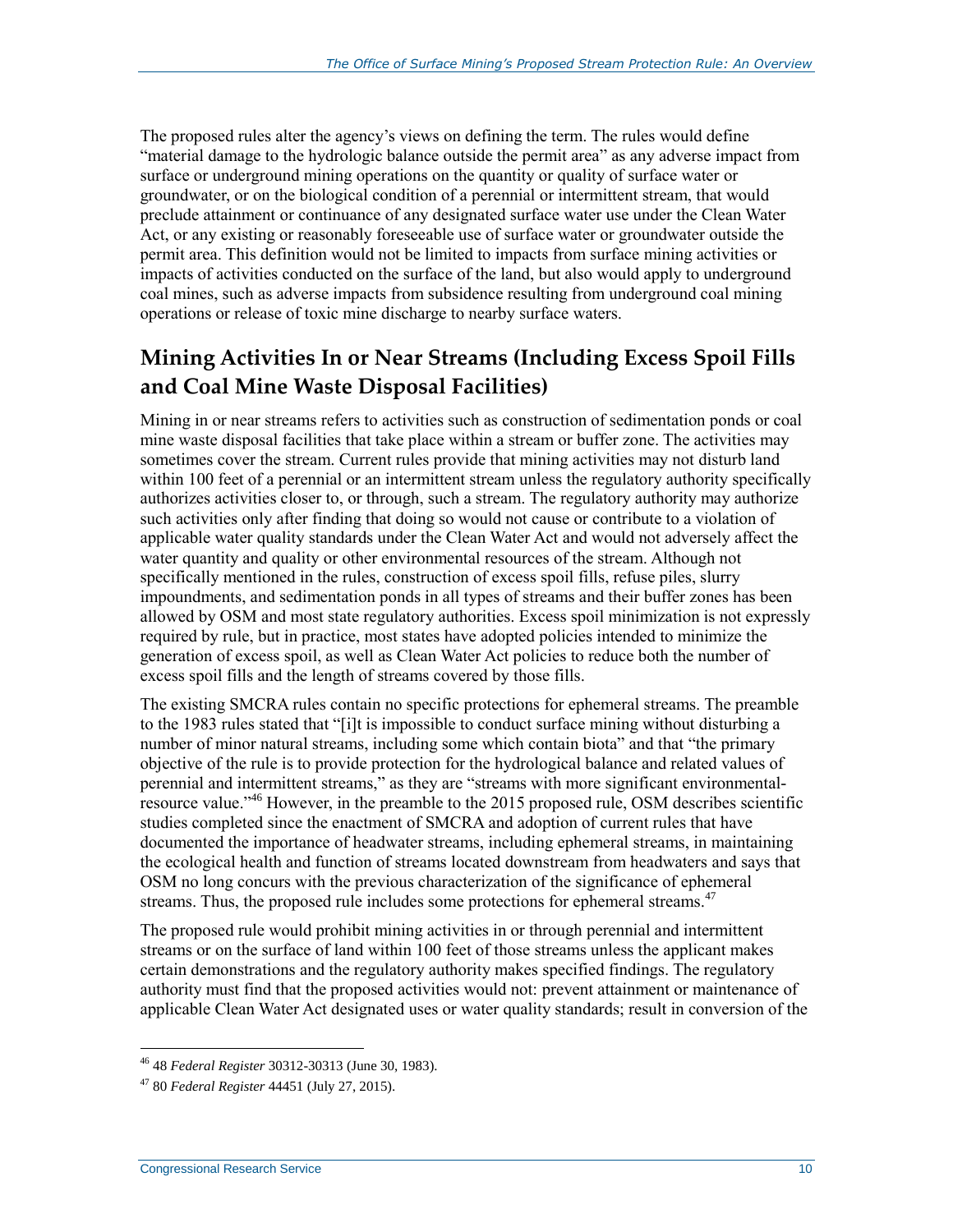The proposed rules alter the agency's views on defining the term. The rules would define "material damage to the hydrologic balance outside the permit area" as any adverse impact from surface or underground mining operations on the quantity or quality of surface water or groundwater, or on the biological condition of a perennial or intermittent stream, that would preclude attainment or continuance of any designated surface water use under the Clean Water Act, or any existing or reasonably foreseeable use of surface water or groundwater outside the permit area. This definition would not be limited to impacts from surface mining activities or impacts of activities conducted on the surface of the land, but also would apply to underground coal mines, such as adverse impacts from subsidence resulting from underground coal mining operations or release of toxic mine discharge to nearby surface waters.

## **Mining Activities In or Near Streams (Including Excess Spoil Fills and Coal Mine Waste Disposal Facilities)**

Mining in or near streams refers to activities such as construction of sedimentation ponds or coal mine waste disposal facilities that take place within a stream or buffer zone. The activities may sometimes cover the stream. Current rules provide that mining activities may not disturb land within 100 feet of a perennial or an intermittent stream unless the regulatory authority specifically authorizes activities closer to, or through, such a stream. The regulatory authority may authorize such activities only after finding that doing so would not cause or contribute to a violation of applicable water quality standards under the Clean Water Act and would not adversely affect the water quantity and quality or other environmental resources of the stream. Although not specifically mentioned in the rules, construction of excess spoil fills, refuse piles, slurry impoundments, and sedimentation ponds in all types of streams and their buffer zones has been allowed by OSM and most state regulatory authorities. Excess spoil minimization is not expressly required by rule, but in practice, most states have adopted policies intended to minimize the generation of excess spoil, as well as Clean Water Act policies to reduce both the number of excess spoil fills and the length of streams covered by those fills.

The existing SMCRA rules contain no specific protections for ephemeral streams. The preamble to the 1983 rules stated that "[i]t is impossible to conduct surface mining without disturbing a number of minor natural streams, including some which contain biota" and that "the primary objective of the rule is to provide protection for the hydrological balance and related values of perennial and intermittent streams," as they are "streams with more significant environmentalresource value."<sup>46</sup> However, in the preamble to the 2015 proposed rule, OSM describes scientific studies completed since the enactment of SMCRA and adoption of current rules that have documented the importance of headwater streams, including ephemeral streams, in maintaining the ecological health and function of streams located downstream from headwaters and says that OSM no long concurs with the previous characterization of the significance of ephemeral streams. Thus, the proposed rule includes some protections for ephemeral streams.<sup>47</sup>

The proposed rule would prohibit mining activities in or through perennial and intermittent streams or on the surface of land within 100 feet of those streams unless the applicant makes certain demonstrations and the regulatory authority makes specified findings. The regulatory authority must find that the proposed activities would not: prevent attainment or maintenance of applicable Clean Water Act designated uses or water quality standards; result in conversion of the

<sup>46</sup> 48 *Federal Register* 30312-30313 (June 30, 1983).

<sup>47</sup> 80 *Federal Register* 44451 (July 27, 2015).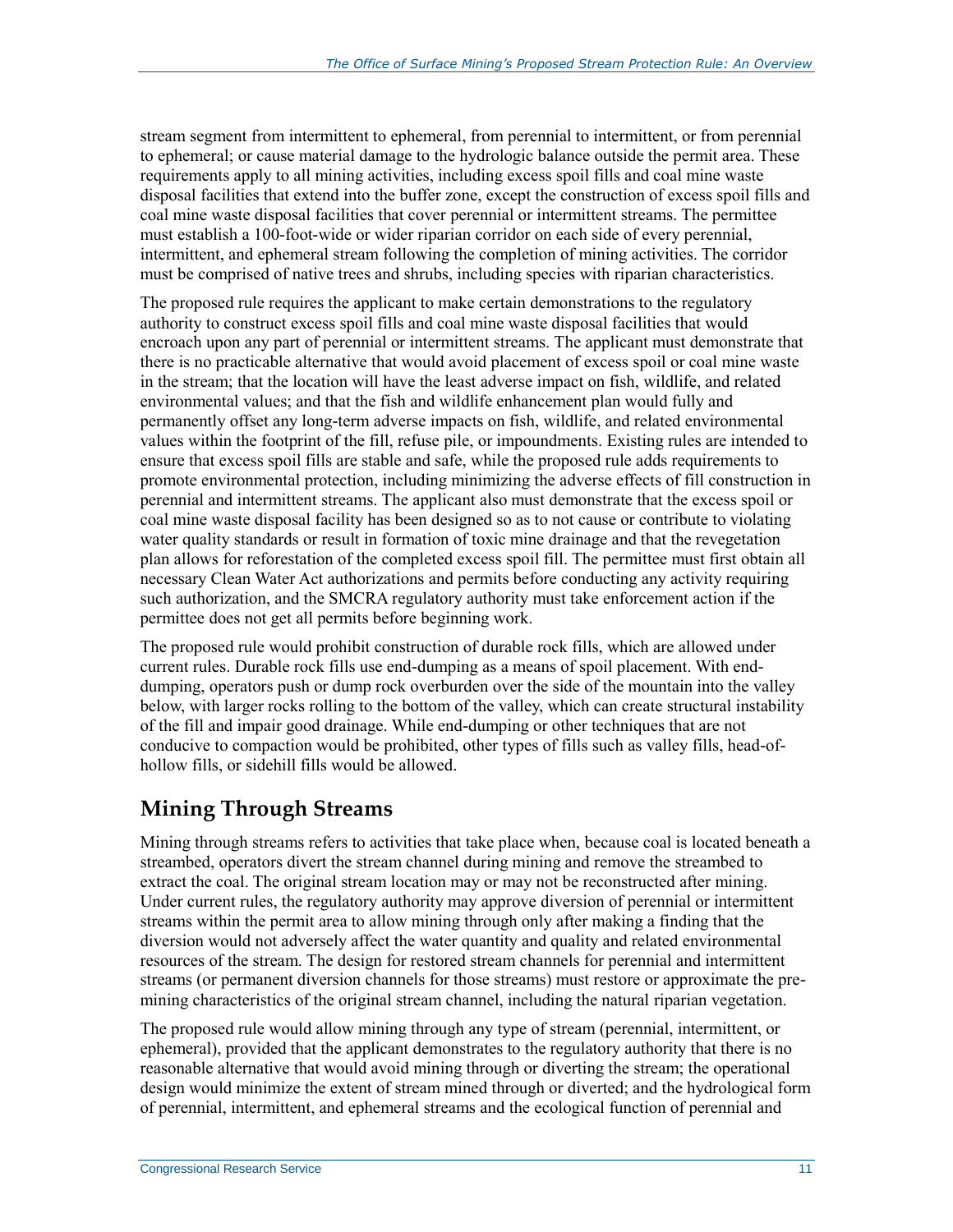stream segment from intermittent to ephemeral, from perennial to intermittent, or from perennial to ephemeral; or cause material damage to the hydrologic balance outside the permit area. These requirements apply to all mining activities, including excess spoil fills and coal mine waste disposal facilities that extend into the buffer zone, except the construction of excess spoil fills and coal mine waste disposal facilities that cover perennial or intermittent streams. The permittee must establish a 100-foot-wide or wider riparian corridor on each side of every perennial, intermittent, and ephemeral stream following the completion of mining activities. The corridor must be comprised of native trees and shrubs, including species with riparian characteristics.

The proposed rule requires the applicant to make certain demonstrations to the regulatory authority to construct excess spoil fills and coal mine waste disposal facilities that would encroach upon any part of perennial or intermittent streams. The applicant must demonstrate that there is no practicable alternative that would avoid placement of excess spoil or coal mine waste in the stream; that the location will have the least adverse impact on fish, wildlife, and related environmental values; and that the fish and wildlife enhancement plan would fully and permanently offset any long-term adverse impacts on fish, wildlife, and related environmental values within the footprint of the fill, refuse pile, or impoundments. Existing rules are intended to ensure that excess spoil fills are stable and safe, while the proposed rule adds requirements to promote environmental protection, including minimizing the adverse effects of fill construction in perennial and intermittent streams. The applicant also must demonstrate that the excess spoil or coal mine waste disposal facility has been designed so as to not cause or contribute to violating water quality standards or result in formation of toxic mine drainage and that the revegetation plan allows for reforestation of the completed excess spoil fill. The permittee must first obtain all necessary Clean Water Act authorizations and permits before conducting any activity requiring such authorization, and the SMCRA regulatory authority must take enforcement action if the permittee does not get all permits before beginning work.

The proposed rule would prohibit construction of durable rock fills, which are allowed under current rules. Durable rock fills use end-dumping as a means of spoil placement. With enddumping, operators push or dump rock overburden over the side of the mountain into the valley below, with larger rocks rolling to the bottom of the valley, which can create structural instability of the fill and impair good drainage. While end-dumping or other techniques that are not conducive to compaction would be prohibited, other types of fills such as valley fills, head-ofhollow fills, or sidehill fills would be allowed.

### **Mining Through Streams**

Mining through streams refers to activities that take place when, because coal is located beneath a streambed, operators divert the stream channel during mining and remove the streambed to extract the coal. The original stream location may or may not be reconstructed after mining. Under current rules, the regulatory authority may approve diversion of perennial or intermittent streams within the permit area to allow mining through only after making a finding that the diversion would not adversely affect the water quantity and quality and related environmental resources of the stream. The design for restored stream channels for perennial and intermittent streams (or permanent diversion channels for those streams) must restore or approximate the premining characteristics of the original stream channel, including the natural riparian vegetation.

The proposed rule would allow mining through any type of stream (perennial, intermittent, or ephemeral), provided that the applicant demonstrates to the regulatory authority that there is no reasonable alternative that would avoid mining through or diverting the stream; the operational design would minimize the extent of stream mined through or diverted; and the hydrological form of perennial, intermittent, and ephemeral streams and the ecological function of perennial and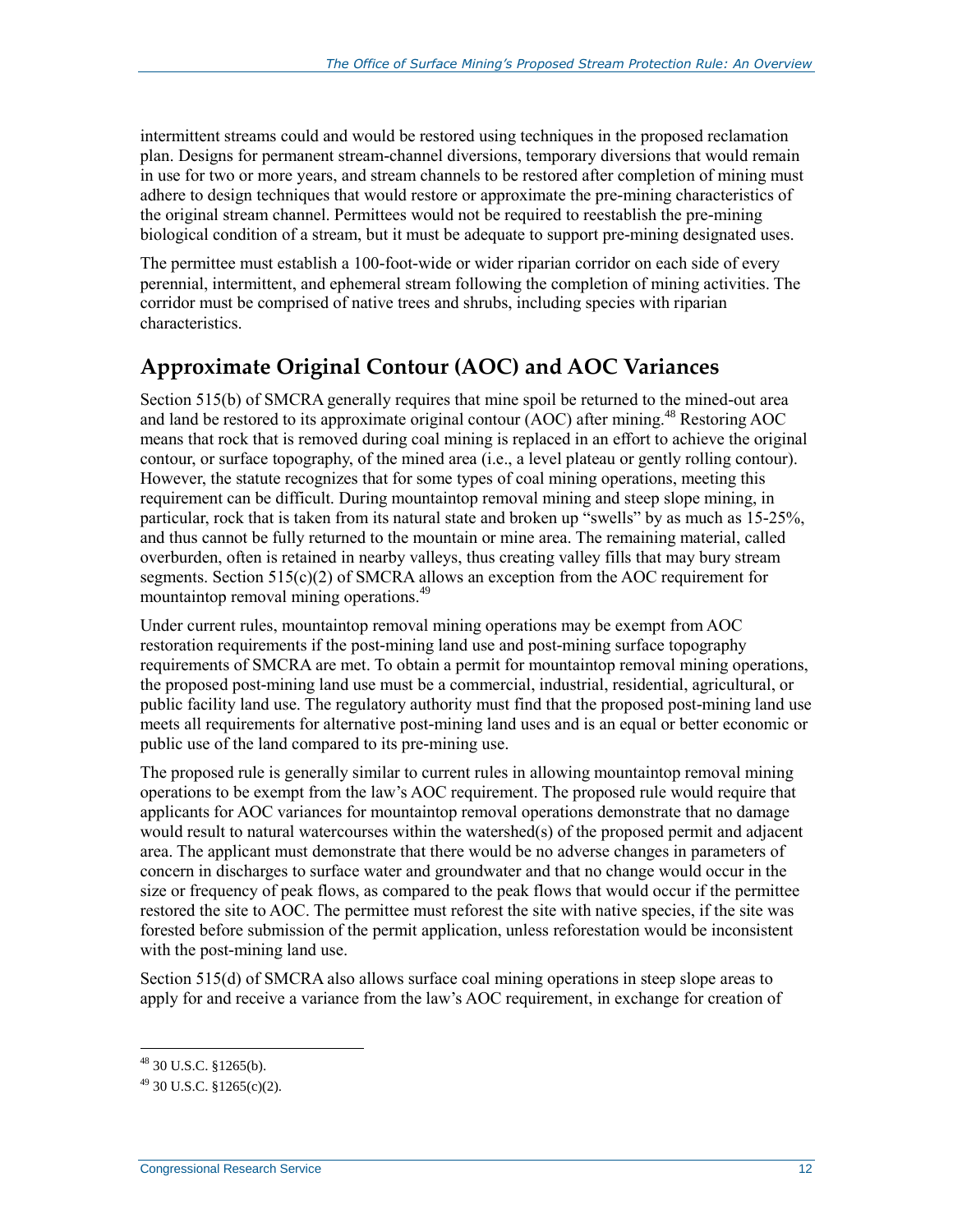intermittent streams could and would be restored using techniques in the proposed reclamation plan. Designs for permanent stream-channel diversions, temporary diversions that would remain in use for two or more years, and stream channels to be restored after completion of mining must adhere to design techniques that would restore or approximate the pre-mining characteristics of the original stream channel. Permittees would not be required to reestablish the pre-mining biological condition of a stream, but it must be adequate to support pre-mining designated uses.

The permittee must establish a 100-foot-wide or wider riparian corridor on each side of every perennial, intermittent, and ephemeral stream following the completion of mining activities. The corridor must be comprised of native trees and shrubs, including species with riparian characteristics.

### **Approximate Original Contour (AOC) and AOC Variances**

Section 515(b) of SMCRA generally requires that mine spoil be returned to the mined-out area and land be restored to its approximate original contour (AOC) after mining.<sup>48</sup> Restoring AOC means that rock that is removed during coal mining is replaced in an effort to achieve the original contour, or surface topography, of the mined area (i.e., a level plateau or gently rolling contour). However, the statute recognizes that for some types of coal mining operations, meeting this requirement can be difficult. During mountaintop removal mining and steep slope mining, in particular, rock that is taken from its natural state and broken up "swells" by as much as 15-25%, and thus cannot be fully returned to the mountain or mine area. The remaining material, called overburden, often is retained in nearby valleys, thus creating valley fills that may bury stream segments. Section 515(c)(2) of SMCRA allows an exception from the AOC requirement for mountaintop removal mining operations.<sup>49</sup>

Under current rules, mountaintop removal mining operations may be exempt from AOC restoration requirements if the post-mining land use and post-mining surface topography requirements of SMCRA are met. To obtain a permit for mountaintop removal mining operations, the proposed post-mining land use must be a commercial, industrial, residential, agricultural, or public facility land use. The regulatory authority must find that the proposed post-mining land use meets all requirements for alternative post-mining land uses and is an equal or better economic or public use of the land compared to its pre-mining use.

The proposed rule is generally similar to current rules in allowing mountaintop removal mining operations to be exempt from the law's AOC requirement. The proposed rule would require that applicants for AOC variances for mountaintop removal operations demonstrate that no damage would result to natural watercourses within the watershed(s) of the proposed permit and adjacent area. The applicant must demonstrate that there would be no adverse changes in parameters of concern in discharges to surface water and groundwater and that no change would occur in the size or frequency of peak flows, as compared to the peak flows that would occur if the permittee restored the site to AOC. The permittee must reforest the site with native species, if the site was forested before submission of the permit application, unless reforestation would be inconsistent with the post-mining land use.

Section 515(d) of SMCRA also allows surface coal mining operations in steep slope areas to apply for and receive a variance from the law's AOC requirement, in exchange for creation of

<sup>48</sup> 30 U.S.C. §1265(b).

 $^{49}$  30 U.S.C.  $$1265(c)(2)$ .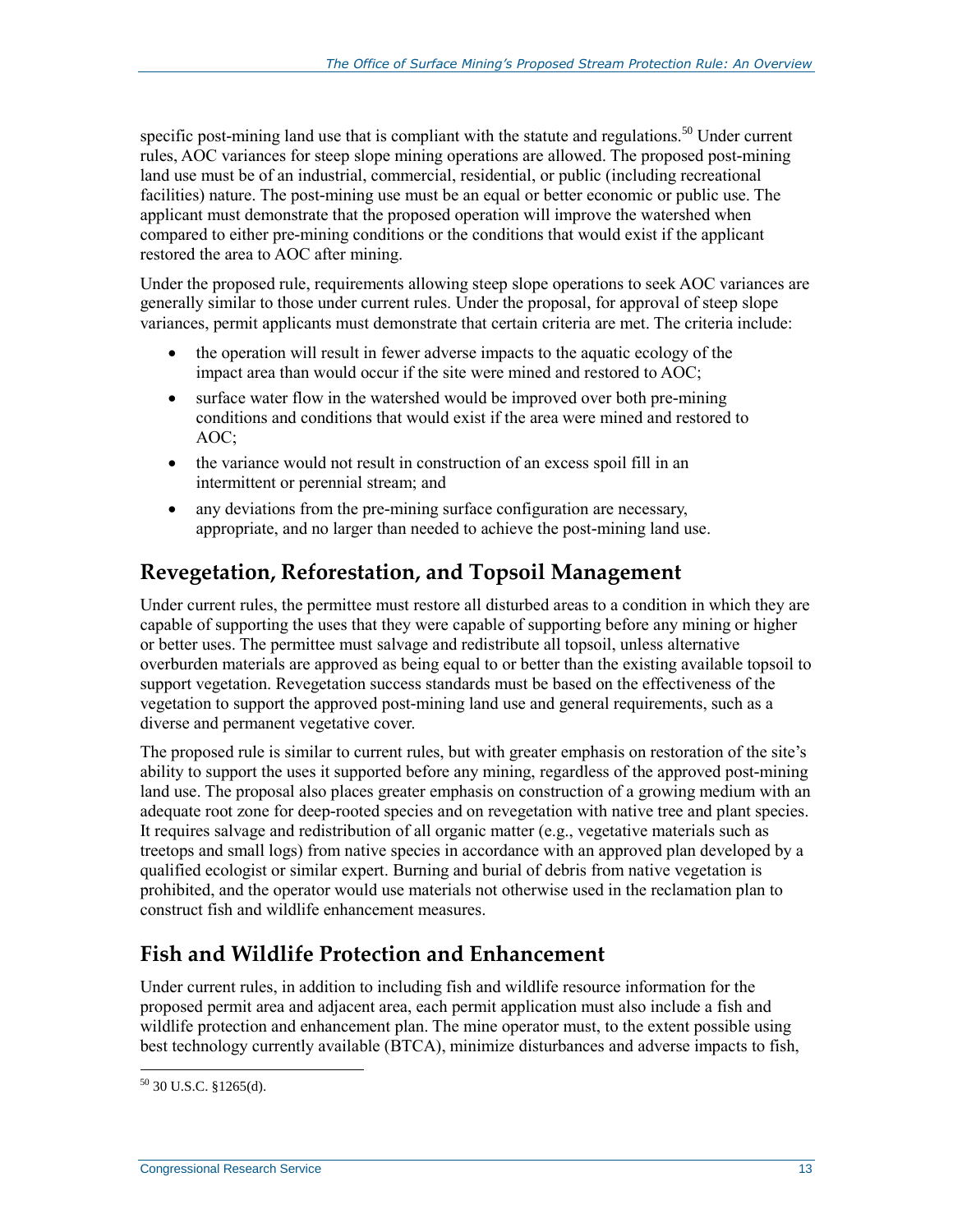specific post-mining land use that is compliant with the statute and regulations.<sup>50</sup> Under current rules, AOC variances for steep slope mining operations are allowed. The proposed post-mining land use must be of an industrial, commercial, residential, or public (including recreational facilities) nature. The post-mining use must be an equal or better economic or public use. The applicant must demonstrate that the proposed operation will improve the watershed when compared to either pre-mining conditions or the conditions that would exist if the applicant restored the area to AOC after mining.

Under the proposed rule, requirements allowing steep slope operations to seek AOC variances are generally similar to those under current rules. Under the proposal, for approval of steep slope variances, permit applicants must demonstrate that certain criteria are met. The criteria include:

- the operation will result in fewer adverse impacts to the aquatic ecology of the impact area than would occur if the site were mined and restored to AOC;
- surface water flow in the watershed would be improved over both pre-mining conditions and conditions that would exist if the area were mined and restored to AOC;
- the variance would not result in construction of an excess spoil fill in an intermittent or perennial stream; and
- any deviations from the pre-mining surface configuration are necessary, appropriate, and no larger than needed to achieve the post-mining land use.

### **Revegetation, Reforestation, and Topsoil Management**

Under current rules, the permittee must restore all disturbed areas to a condition in which they are capable of supporting the uses that they were capable of supporting before any mining or higher or better uses. The permittee must salvage and redistribute all topsoil, unless alternative overburden materials are approved as being equal to or better than the existing available topsoil to support vegetation. Revegetation success standards must be based on the effectiveness of the vegetation to support the approved post-mining land use and general requirements, such as a diverse and permanent vegetative cover.

The proposed rule is similar to current rules, but with greater emphasis on restoration of the site's ability to support the uses it supported before any mining, regardless of the approved post-mining land use. The proposal also places greater emphasis on construction of a growing medium with an adequate root zone for deep-rooted species and on revegetation with native tree and plant species. It requires salvage and redistribution of all organic matter (e.g., vegetative materials such as treetops and small logs) from native species in accordance with an approved plan developed by a qualified ecologist or similar expert. Burning and burial of debris from native vegetation is prohibited, and the operator would use materials not otherwise used in the reclamation plan to construct fish and wildlife enhancement measures.

## **Fish and Wildlife Protection and Enhancement**

Under current rules, in addition to including fish and wildlife resource information for the proposed permit area and adjacent area, each permit application must also include a fish and wildlife protection and enhancement plan. The mine operator must, to the extent possible using best technology currently available (BTCA), minimize disturbances and adverse impacts to fish,

 $\overline{a}$  $50$  30 U.S.C. §1265(d).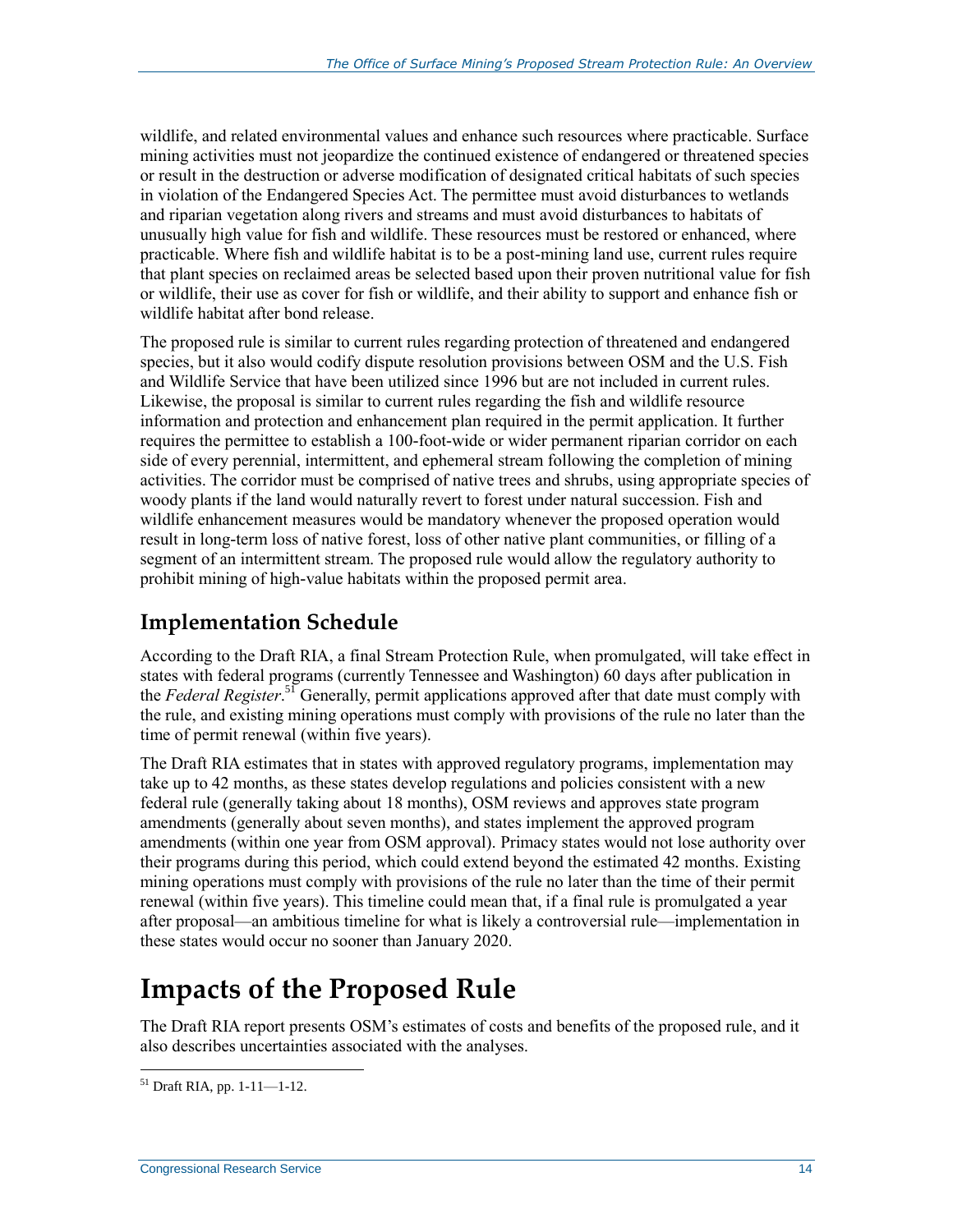wildlife, and related environmental values and enhance such resources where practicable. Surface mining activities must not jeopardize the continued existence of endangered or threatened species or result in the destruction or adverse modification of designated critical habitats of such species in violation of the Endangered Species Act. The permittee must avoid disturbances to wetlands and riparian vegetation along rivers and streams and must avoid disturbances to habitats of unusually high value for fish and wildlife. These resources must be restored or enhanced, where practicable. Where fish and wildlife habitat is to be a post-mining land use, current rules require that plant species on reclaimed areas be selected based upon their proven nutritional value for fish or wildlife, their use as cover for fish or wildlife, and their ability to support and enhance fish or wildlife habitat after bond release.

The proposed rule is similar to current rules regarding protection of threatened and endangered species, but it also would codify dispute resolution provisions between OSM and the U.S. Fish and Wildlife Service that have been utilized since 1996 but are not included in current rules. Likewise, the proposal is similar to current rules regarding the fish and wildlife resource information and protection and enhancement plan required in the permit application. It further requires the permittee to establish a 100-foot-wide or wider permanent riparian corridor on each side of every perennial, intermittent, and ephemeral stream following the completion of mining activities. The corridor must be comprised of native trees and shrubs, using appropriate species of woody plants if the land would naturally revert to forest under natural succession. Fish and wildlife enhancement measures would be mandatory whenever the proposed operation would result in long-term loss of native forest, loss of other native plant communities, or filling of a segment of an intermittent stream. The proposed rule would allow the regulatory authority to prohibit mining of high-value habitats within the proposed permit area.

## **Implementation Schedule**

According to the Draft RIA, a final Stream Protection Rule, when promulgated, will take effect in states with federal programs (currently Tennessee and Washington) 60 days after publication in the *Federal Register*. <sup>51</sup> Generally, permit applications approved after that date must comply with the rule, and existing mining operations must comply with provisions of the rule no later than the time of permit renewal (within five years).

The Draft RIA estimates that in states with approved regulatory programs, implementation may take up to 42 months, as these states develop regulations and policies consistent with a new federal rule (generally taking about 18 months), OSM reviews and approves state program amendments (generally about seven months), and states implement the approved program amendments (within one year from OSM approval). Primacy states would not lose authority over their programs during this period, which could extend beyond the estimated 42 months. Existing mining operations must comply with provisions of the rule no later than the time of their permit renewal (within five years). This timeline could mean that, if a final rule is promulgated a year after proposal—an ambitious timeline for what is likely a controversial rule—implementation in these states would occur no sooner than January 2020.

## **Impacts of the Proposed Rule**

The Draft RIA report presents OSM's estimates of costs and benefits of the proposed rule, and it also describes uncertainties associated with the analyses.

 $51$  Draft RIA, pp. 1-11-1-12.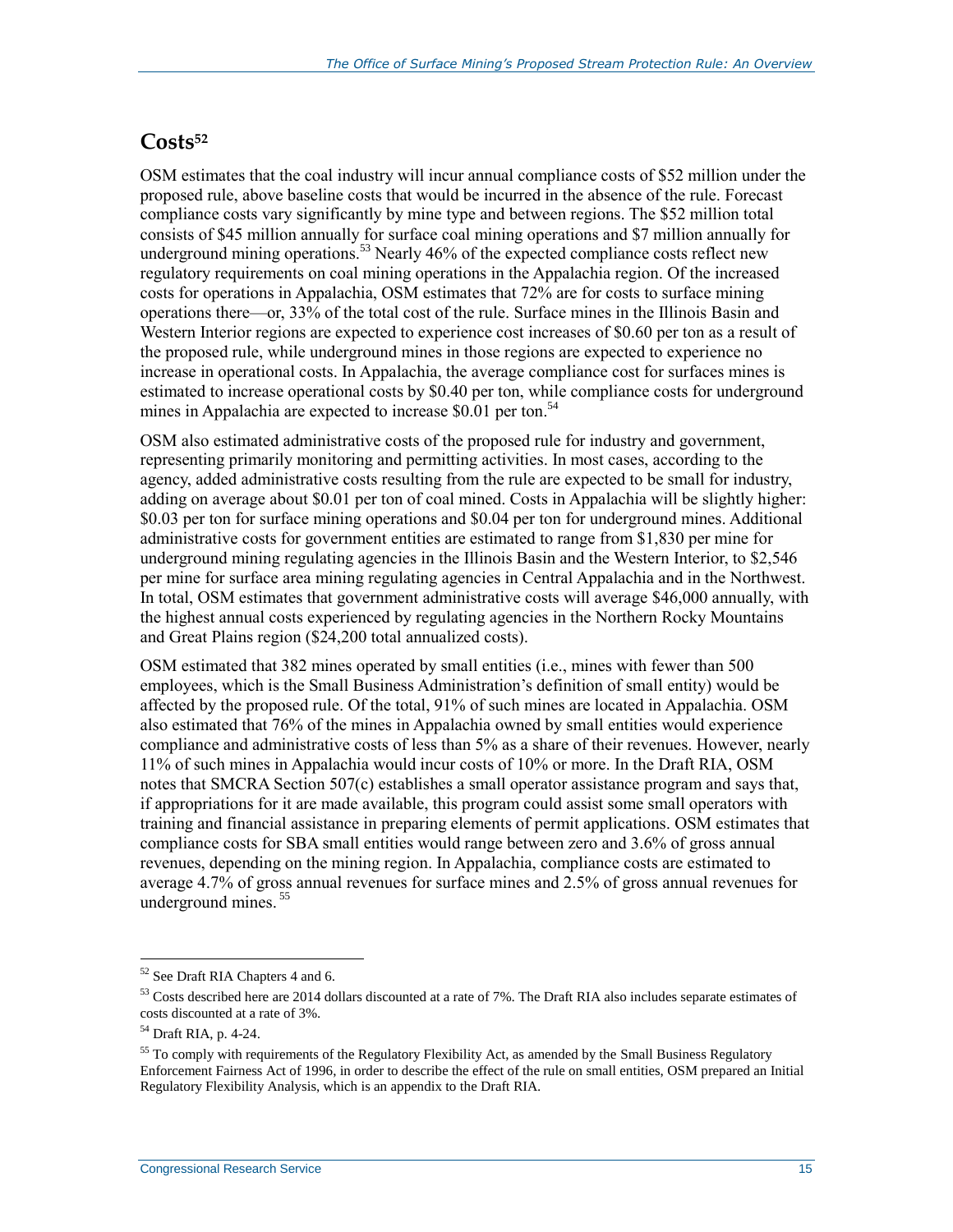#### **Costs<sup>52</sup>**

OSM estimates that the coal industry will incur annual compliance costs of \$52 million under the proposed rule, above baseline costs that would be incurred in the absence of the rule. Forecast compliance costs vary significantly by mine type and between regions. The \$52 million total consists of \$45 million annually for surface coal mining operations and \$7 million annually for underground mining operations.<sup>53</sup> Nearly 46% of the expected compliance costs reflect new regulatory requirements on coal mining operations in the Appalachia region. Of the increased costs for operations in Appalachia, OSM estimates that 72% are for costs to surface mining operations there—or, 33% of the total cost of the rule. Surface mines in the Illinois Basin and Western Interior regions are expected to experience cost increases of \$0.60 per ton as a result of the proposed rule, while underground mines in those regions are expected to experience no increase in operational costs. In Appalachia, the average compliance cost for surfaces mines is estimated to increase operational costs by \$0.40 per ton, while compliance costs for underground mines in Appalachia are expected to increase \$0.01 per ton.<sup>54</sup>

OSM also estimated administrative costs of the proposed rule for industry and government, representing primarily monitoring and permitting activities. In most cases, according to the agency, added administrative costs resulting from the rule are expected to be small for industry, adding on average about \$0.01 per ton of coal mined. Costs in Appalachia will be slightly higher: \$0.03 per ton for surface mining operations and \$0.04 per ton for underground mines. Additional administrative costs for government entities are estimated to range from \$1,830 per mine for underground mining regulating agencies in the Illinois Basin and the Western Interior, to \$2,546 per mine for surface area mining regulating agencies in Central Appalachia and in the Northwest. In total, OSM estimates that government administrative costs will average \$46,000 annually, with the highest annual costs experienced by regulating agencies in the Northern Rocky Mountains and Great Plains region (\$24,200 total annualized costs).

OSM estimated that 382 mines operated by small entities (i.e., mines with fewer than 500 employees, which is the Small Business Administration's definition of small entity) would be affected by the proposed rule. Of the total, 91% of such mines are located in Appalachia. OSM also estimated that 76% of the mines in Appalachia owned by small entities would experience compliance and administrative costs of less than 5% as a share of their revenues. However, nearly 11% of such mines in Appalachia would incur costs of 10% or more. In the Draft RIA, OSM notes that SMCRA Section 507(c) establishes a small operator assistance program and says that, if appropriations for it are made available, this program could assist some small operators with training and financial assistance in preparing elements of permit applications. OSM estimates that compliance costs for SBA small entities would range between zero and 3.6% of gross annual revenues, depending on the mining region. In Appalachia, compliance costs are estimated to average 4.7% of gross annual revenues for surface mines and 2.5% of gross annual revenues for underground mines.<sup>55</sup>

<sup>&</sup>lt;sup>52</sup> See Draft RIA Chapters 4 and 6.

 $53$  Costs described here are 2014 dollars discounted at a rate of 7%. The Draft RIA also includes separate estimates of costs discounted at a rate of 3%.

<sup>54</sup> Draft RIA, p. 4-24.

<sup>&</sup>lt;sup>55</sup> To comply with requirements of the Regulatory Flexibility Act, as amended by the Small Business Regulatory Enforcement Fairness Act of 1996, in order to describe the effect of the rule on small entities, OSM prepared an Initial Regulatory Flexibility Analysis, which is an appendix to the Draft RIA.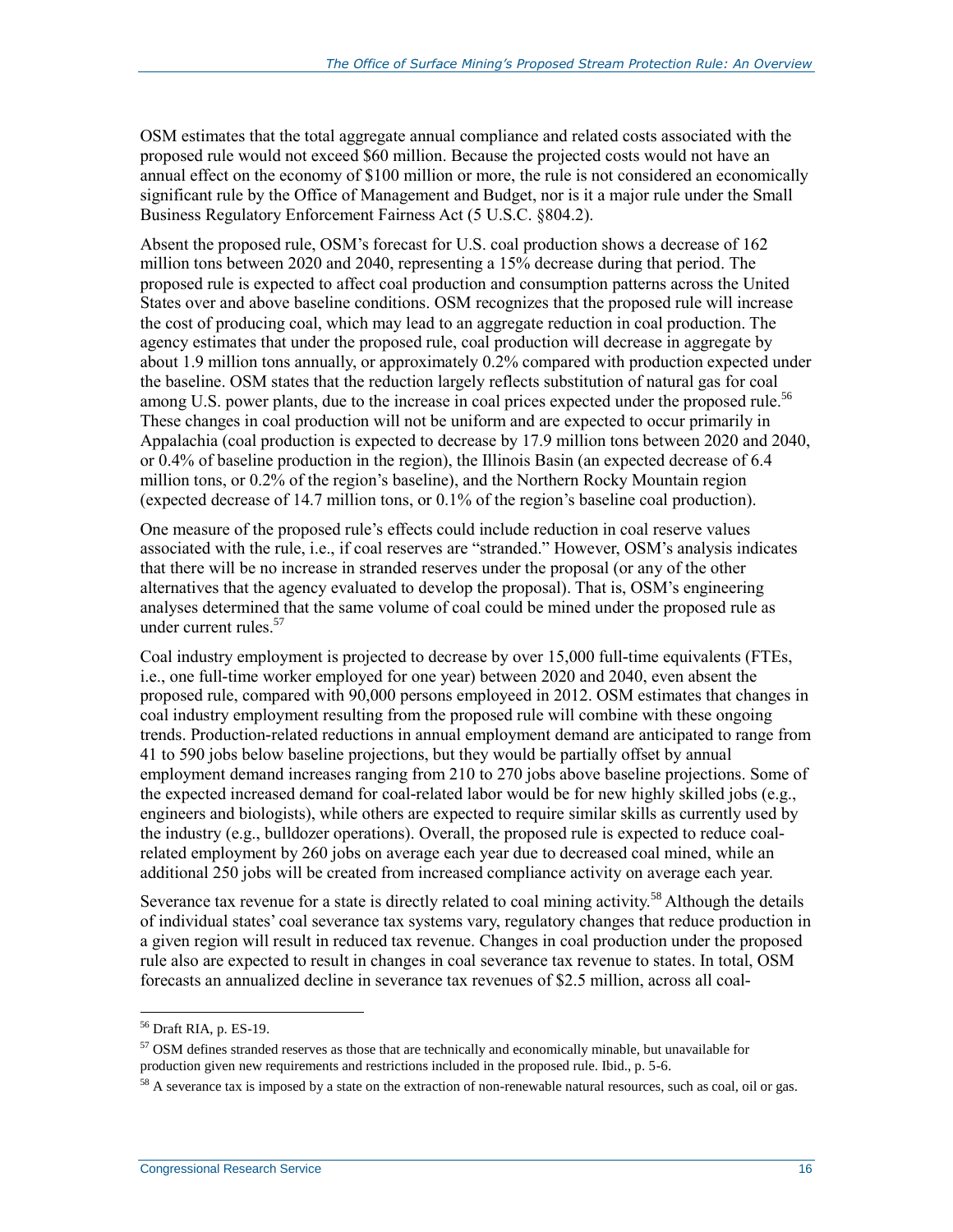OSM estimates that the total aggregate annual compliance and related costs associated with the proposed rule would not exceed \$60 million. Because the projected costs would not have an annual effect on the economy of \$100 million or more, the rule is not considered an economically significant rule by the Office of Management and Budget, nor is it a major rule under the Small Business Regulatory Enforcement Fairness Act (5 U.S.C. §804.2).

Absent the proposed rule, OSM's forecast for U.S. coal production shows a decrease of 162 million tons between 2020 and 2040, representing a 15% decrease during that period. The proposed rule is expected to affect coal production and consumption patterns across the United States over and above baseline conditions. OSM recognizes that the proposed rule will increase the cost of producing coal, which may lead to an aggregate reduction in coal production. The agency estimates that under the proposed rule, coal production will decrease in aggregate by about 1.9 million tons annually, or approximately 0.2% compared with production expected under the baseline. OSM states that the reduction largely reflects substitution of natural gas for coal among U.S. power plants, due to the increase in coal prices expected under the proposed rule.<sup>56</sup> These changes in coal production will not be uniform and are expected to occur primarily in Appalachia (coal production is expected to decrease by 17.9 million tons between 2020 and 2040, or 0.4% of baseline production in the region), the Illinois Basin (an expected decrease of 6.4 million tons, or 0.2% of the region's baseline), and the Northern Rocky Mountain region (expected decrease of 14.7 million tons, or 0.1% of the region's baseline coal production).

One measure of the proposed rule's effects could include reduction in coal reserve values associated with the rule, i.e., if coal reserves are "stranded." However, OSM's analysis indicates that there will be no increase in stranded reserves under the proposal (or any of the other alternatives that the agency evaluated to develop the proposal). That is, OSM's engineering analyses determined that the same volume of coal could be mined under the proposed rule as under current rules.<sup>57</sup>

Coal industry employment is projected to decrease by over 15,000 full-time equivalents (FTEs, i.e., one full-time worker employed for one year) between 2020 and 2040, even absent the proposed rule, compared with 90,000 persons employeed in 2012. OSM estimates that changes in coal industry employment resulting from the proposed rule will combine with these ongoing trends. Production-related reductions in annual employment demand are anticipated to range from 41 to 590 jobs below baseline projections, but they would be partially offset by annual employment demand increases ranging from 210 to 270 jobs above baseline projections. Some of the expected increased demand for coal-related labor would be for new highly skilled jobs (e.g., engineers and biologists), while others are expected to require similar skills as currently used by the industry (e.g., bulldozer operations). Overall, the proposed rule is expected to reduce coalrelated employment by 260 jobs on average each year due to decreased coal mined, while an additional 250 jobs will be created from increased compliance activity on average each year.

Severance tax revenue for a state is directly related to coal mining activity.<sup>58</sup> Although the details of individual states' coal severance tax systems vary, regulatory changes that reduce production in a given region will result in reduced tax revenue. Changes in coal production under the proposed rule also are expected to result in changes in coal severance tax revenue to states. In total, OSM forecasts an annualized decline in severance tax revenues of \$2.5 million, across all coal-

<sup>56</sup> Draft RIA, p. ES-19.

<sup>&</sup>lt;sup>57</sup> OSM defines stranded reserves as those that are technically and economically minable, but unavailable for production given new requirements and restrictions included in the proposed rule. Ibid., p. 5-6.

 $58$  A severance tax is imposed by a state on the extraction of non-renewable natural resources, such as coal, oil or gas.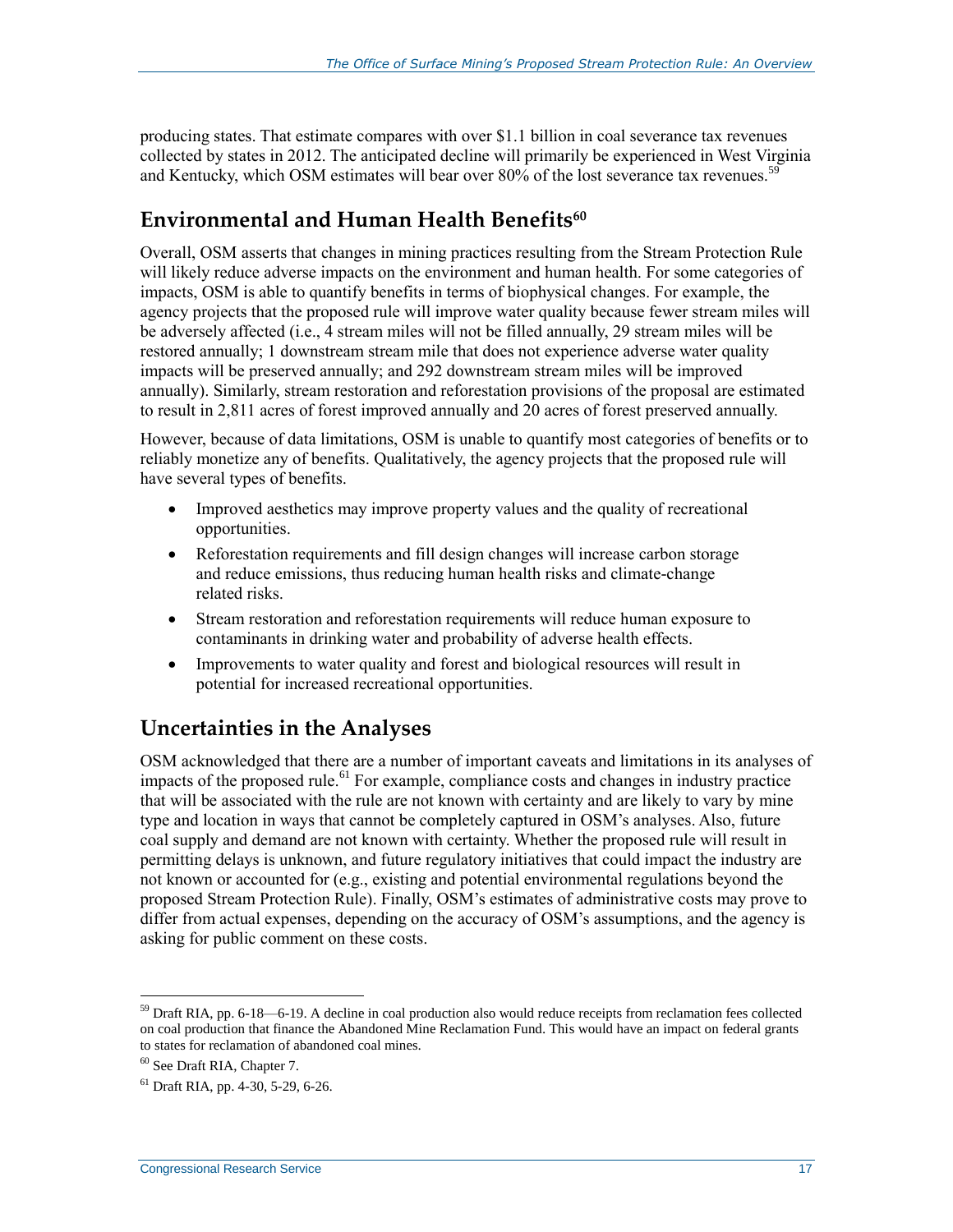producing states. That estimate compares with over \$1.1 billion in coal severance tax revenues collected by states in 2012. The anticipated decline will primarily be experienced in West Virginia and Kentucky, which OSM estimates will bear over 80% of the lost severance tax revenues.<sup>59</sup>

#### **Environmental and Human Health Benefits<sup>60</sup>**

Overall, OSM asserts that changes in mining practices resulting from the Stream Protection Rule will likely reduce adverse impacts on the environment and human health. For some categories of impacts, OSM is able to quantify benefits in terms of biophysical changes. For example, the agency projects that the proposed rule will improve water quality because fewer stream miles will be adversely affected (i.e., 4 stream miles will not be filled annually, 29 stream miles will be restored annually; 1 downstream stream mile that does not experience adverse water quality impacts will be preserved annually; and 292 downstream stream miles will be improved annually). Similarly, stream restoration and reforestation provisions of the proposal are estimated to result in 2,811 acres of forest improved annually and 20 acres of forest preserved annually.

However, because of data limitations, OSM is unable to quantify most categories of benefits or to reliably monetize any of benefits. Qualitatively, the agency projects that the proposed rule will have several types of benefits.

- Improved aesthetics may improve property values and the quality of recreational opportunities.
- Reforestation requirements and fill design changes will increase carbon storage and reduce emissions, thus reducing human health risks and climate-change related risks.
- Stream restoration and reforestation requirements will reduce human exposure to contaminants in drinking water and probability of adverse health effects.
- Improvements to water quality and forest and biological resources will result in potential for increased recreational opportunities.

#### **Uncertainties in the Analyses**

OSM acknowledged that there are a number of important caveats and limitations in its analyses of impacts of the proposed rule.<sup>61</sup> For example, compliance costs and changes in industry practice that will be associated with the rule are not known with certainty and are likely to vary by mine type and location in ways that cannot be completely captured in OSM's analyses. Also, future coal supply and demand are not known with certainty. Whether the proposed rule will result in permitting delays is unknown, and future regulatory initiatives that could impact the industry are not known or accounted for (e.g., existing and potential environmental regulations beyond the proposed Stream Protection Rule). Finally, OSM's estimates of administrative costs may prove to differ from actual expenses, depending on the accuracy of OSM's assumptions, and the agency is asking for public comment on these costs.

<sup>59</sup> Draft RIA, pp. 6-18—6-19. A decline in coal production also would reduce receipts from reclamation fees collected on coal production that finance the Abandoned Mine Reclamation Fund. This would have an impact on federal grants to states for reclamation of abandoned coal mines.

<sup>60</sup> See Draft RIA, Chapter 7.

 $61$  Draft RIA, pp. 4-30, 5-29, 6-26.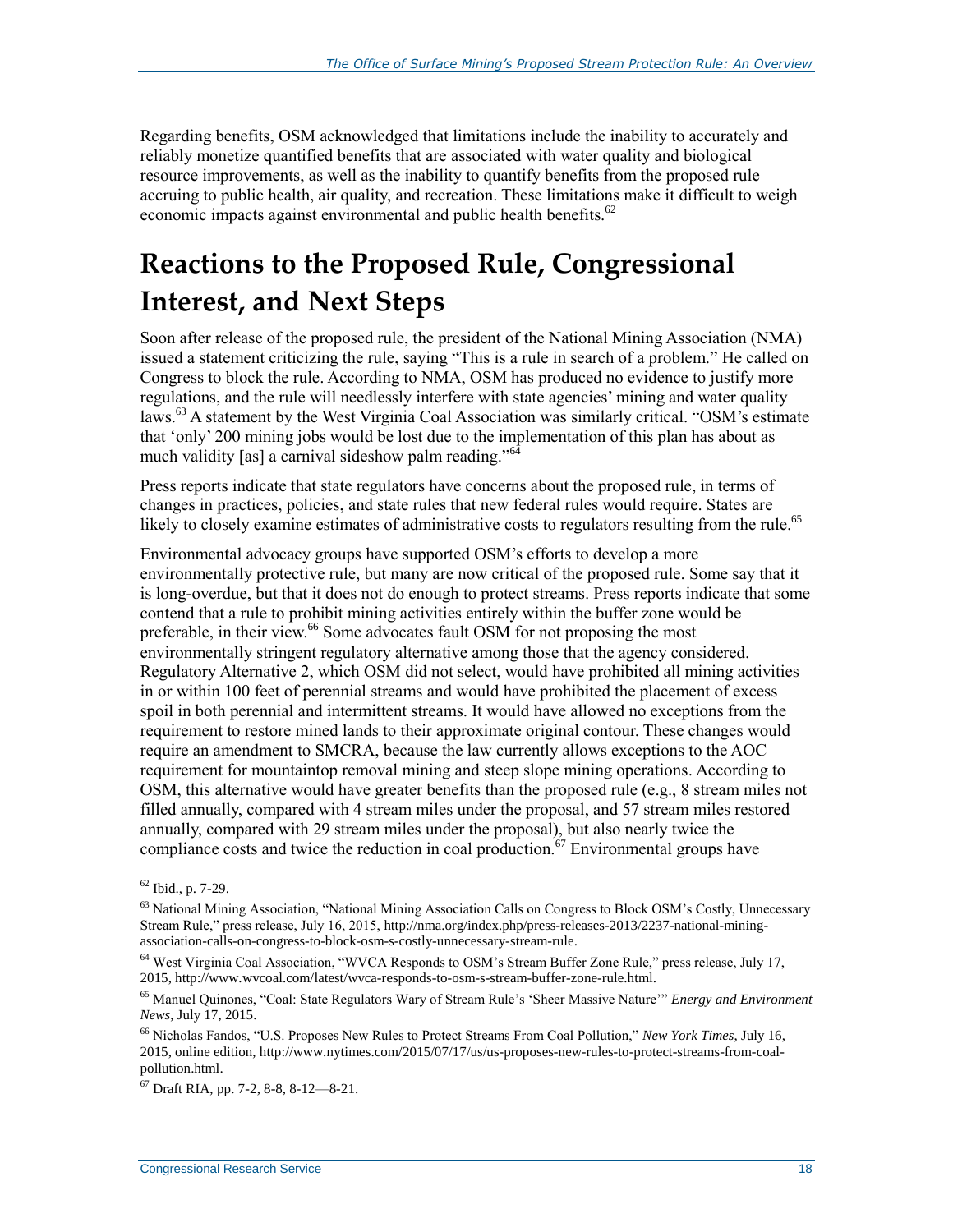Regarding benefits, OSM acknowledged that limitations include the inability to accurately and reliably monetize quantified benefits that are associated with water quality and biological resource improvements, as well as the inability to quantify benefits from the proposed rule accruing to public health, air quality, and recreation. These limitations make it difficult to weigh economic impacts against environmental and public health benefits.<sup>62</sup>

## **Reactions to the Proposed Rule, Congressional Interest, and Next Steps**

Soon after release of the proposed rule, the president of the National Mining Association (NMA) issued a statement criticizing the rule, saying "This is a rule in search of a problem." He called on Congress to block the rule. According to NMA, OSM has produced no evidence to justify more regulations, and the rule will needlessly interfere with state agencies' mining and water quality laws.<sup>63</sup> A statement by the West Virginia Coal Association was similarly critical. "OSM's estimate that 'only' 200 mining jobs would be lost due to the implementation of this plan has about as much validity [as] a carnival sideshow palm reading."<sup>64</sup>

Press reports indicate that state regulators have concerns about the proposed rule, in terms of changes in practices, policies, and state rules that new federal rules would require. States are likely to closely examine estimates of administrative costs to regulators resulting from the rule.<sup>65</sup>

Environmental advocacy groups have supported OSM's efforts to develop a more environmentally protective rule, but many are now critical of the proposed rule. Some say that it is long-overdue, but that it does not do enough to protect streams. Press reports indicate that some contend that a rule to prohibit mining activities entirely within the buffer zone would be preferable, in their view.<sup>66</sup> Some advocates fault OSM for not proposing the most environmentally stringent regulatory alternative among those that the agency considered. Regulatory Alternative 2, which OSM did not select, would have prohibited all mining activities in or within 100 feet of perennial streams and would have prohibited the placement of excess spoil in both perennial and intermittent streams. It would have allowed no exceptions from the requirement to restore mined lands to their approximate original contour. These changes would require an amendment to SMCRA, because the law currently allows exceptions to the AOC requirement for mountaintop removal mining and steep slope mining operations. According to OSM, this alternative would have greater benefits than the proposed rule (e.g., 8 stream miles not filled annually, compared with 4 stream miles under the proposal, and 57 stream miles restored annually, compared with 29 stream miles under the proposal), but also nearly twice the compliance costs and twice the reduction in coal production.<sup>67</sup> Environmental groups have

 $62$  Ibid., p. 7-29.

<sup>&</sup>lt;sup>63</sup> National Mining Association, "National Mining Association Calls on Congress to Block OSM's Costly, Unnecessary Stream Rule," press release, July 16, 2015, http://nma.org/index.php/press-releases-2013/2237-national-miningassociation-calls-on-congress-to-block-osm-s-costly-unnecessary-stream-rule.

<sup>64</sup> West Virginia Coal Association, "WVCA Responds to OSM's Stream Buffer Zone Rule," press release, July 17, 2015, http://www.wvcoal.com/latest/wvca-responds-to-osm-s-stream-buffer-zone-rule.html.

<sup>65</sup> Manuel Quinones, "Coal: State Regulators Wary of Stream Rule's 'Sheer Massive Nature'" *Energy and Environment News*, July 17, 2015.

<sup>66</sup> Nicholas Fandos, "U.S. Proposes New Rules to Protect Streams From Coal Pollution," *New York Times*, July 16, 2015, online edition, http://www.nytimes.com/2015/07/17/us/us-proposes-new-rules-to-protect-streams-from-coalpollution.html.

<sup>67</sup> Draft RIA, pp. 7-2, 8-8, 8-12—8-21.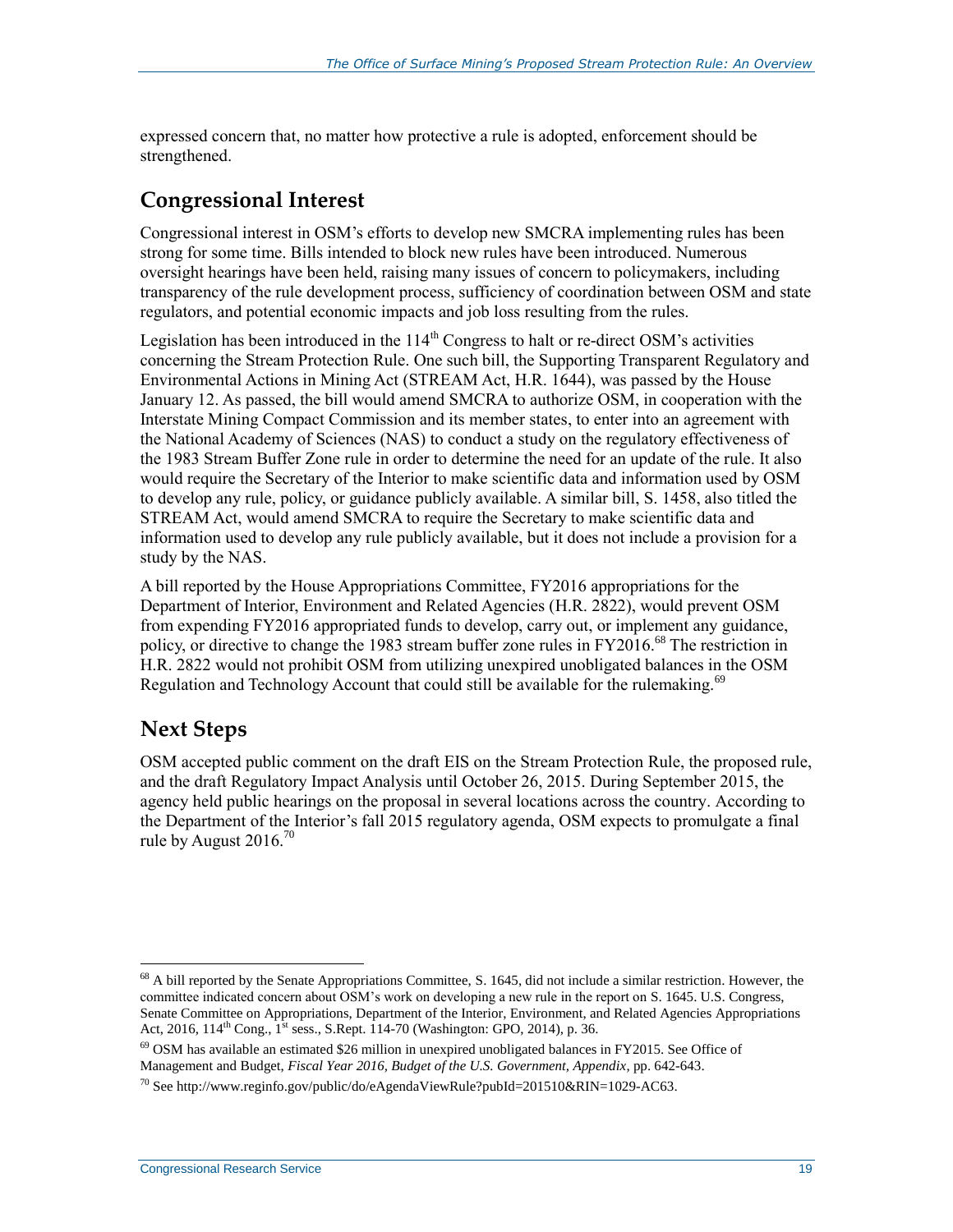expressed concern that, no matter how protective a rule is adopted, enforcement should be strengthened.

#### **Congressional Interest**

Congressional interest in OSM's efforts to develop new SMCRA implementing rules has been strong for some time. Bills intended to block new rules have been introduced. Numerous oversight hearings have been held, raising many issues of concern to policymakers, including transparency of the rule development process, sufficiency of coordination between OSM and state regulators, and potential economic impacts and job loss resulting from the rules.

Legislation has been introduced in the  $114<sup>th</sup>$  Congress to halt or re-direct OSM's activities concerning the Stream Protection Rule. One such bill, the Supporting Transparent Regulatory and Environmental Actions in Mining Act (STREAM Act, H.R. 1644), was passed by the House January 12. As passed, the bill would amend SMCRA to authorize OSM, in cooperation with the Interstate Mining Compact Commission and its member states, to enter into an agreement with the National Academy of Sciences (NAS) to conduct a study on the regulatory effectiveness of the 1983 Stream Buffer Zone rule in order to determine the need for an update of the rule. It also would require the Secretary of the Interior to make scientific data and information used by OSM to develop any rule, policy, or guidance publicly available. A similar bill, S. 1458, also titled the STREAM Act, would amend SMCRA to require the Secretary to make scientific data and information used to develop any rule publicly available, but it does not include a provision for a study by the NAS.

A bill reported by the House Appropriations Committee, FY2016 appropriations for the Department of Interior, Environment and Related Agencies (H.R. 2822), would prevent OSM from expending FY2016 appropriated funds to develop, carry out, or implement any guidance, policy, or directive to change the 1983 stream buffer zone rules in FY2016.<sup>68</sup> The restriction in H.R. 2822 would not prohibit OSM from utilizing unexpired unobligated balances in the OSM Regulation and Technology Account that could still be available for the rulemaking.<sup>69</sup>

### **Next Steps**

 $\overline{a}$ 

OSM accepted public comment on the draft EIS on the Stream Protection Rule, the proposed rule, and the draft Regulatory Impact Analysis until October 26, 2015. During September 2015, the agency held public hearings on the proposal in several locations across the country. According to the Department of the Interior's fall 2015 regulatory agenda, OSM expects to promulgate a final rule by August  $2016^{70}$ 

 $68$  A bill reported by the Senate Appropriations Committee, S. 1645, did not include a similar restriction. However, the committee indicated concern about OSM's work on developing a new rule in the report on S. 1645. U.S. Congress, Senate Committee on Appropriations, Department of the Interior, Environment, and Related Agencies Appropriations Act, 2016,  $114^{th}$  Cong.,  $\hat{1}^{st}$  sess., S.Rept. 114-70 (Washington: GPO, 2014), p. 36.

 $^{69}$  OSM has available an estimated \$26 million in unexpired unobligated balances in FY2015. See Office of Management and Budget, *Fiscal Year 2016, Budget of the U.S. Government, Appendix*, pp. 642-643.

 $^{70}$  See http://www.reginfo.gov/public/do/eAgendaViewRule?pubId=201510&RIN=1029-AC63.